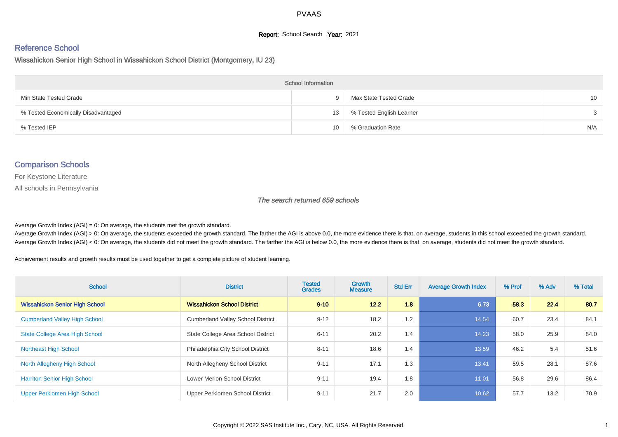#### **Report:** School Search **Year:** 2021

# Reference School

Wissahickon Senior High School in Wissahickon School District (Montgomery, IU 23)

| <b>School Information</b>           |    |                          |                 |  |  |  |  |  |
|-------------------------------------|----|--------------------------|-----------------|--|--|--|--|--|
| Min State Tested Grade              | Q. | Max State Tested Grade   | 10 <sup>1</sup> |  |  |  |  |  |
| % Tested Economically Disadvantaged | 13 | % Tested English Learner | $\mathcal{S}$   |  |  |  |  |  |
| % Tested IEP                        | 10 | % Graduation Rate        | N/A             |  |  |  |  |  |

#### Comparison Schools

For Keystone Literature

All schools in Pennsylvania

The search returned 659 schools

Average Growth Index  $(AGI) = 0$ : On average, the students met the growth standard.

Average Growth Index (AGI) > 0: On average, the students exceeded the growth standard. The farther the AGI is above 0.0, the more evidence there is that, on average, students in this school exceeded the growth standard. Average Growth Index (AGI) < 0: On average, the students did not meet the growth standard. The farther the AGI is below 0.0, the more evidence there is that, on average, students did not meet the growth standard.

Achievement results and growth results must be used together to get a complete picture of student learning.

| <b>School</b>                         | <b>District</b>                          | <b>Tested</b><br><b>Grades</b> | Growth<br><b>Measure</b> | <b>Std Err</b> | <b>Average Growth Index</b> | % Prof | % Adv | % Total |
|---------------------------------------|------------------------------------------|--------------------------------|--------------------------|----------------|-----------------------------|--------|-------|---------|
| <b>Wissahickon Senior High School</b> | <b>Wissahickon School District</b>       | $9 - 10$                       | 12.2                     | 1.8            | 6.73                        | 58.3   | 22.4  | 80.7    |
| <b>Cumberland Valley High School</b>  | <b>Cumberland Valley School District</b> | $9 - 12$                       | 18.2                     | 1.2            | 14.54                       | 60.7   | 23.4  | 84.1    |
| <b>State College Area High School</b> | State College Area School District       | $6 - 11$                       | 20.2                     | 1.4            | 14.23                       | 58.0   | 25.9  | 84.0    |
| <b>Northeast High School</b>          | Philadelphia City School District        | $8 - 11$                       | 18.6                     | 1.4            | 13.59                       | 46.2   | 5.4   | 51.6    |
| North Allegheny High School           | North Allegheny School District          | $9 - 11$                       | 17.1                     | 1.3            | 13.41                       | 59.5   | 28.1  | 87.6    |
| <b>Harriton Senior High School</b>    | <b>Lower Merion School District</b>      | $9 - 11$                       | 19.4                     | 1.8            | 11.01                       | 56.8   | 29.6  | 86.4    |
| Upper Perkiomen High School           | Upper Perkiomen School District          | $9 - 11$                       | 21.7                     | 2.0            | 10.62                       | 57.7   | 13.2  | 70.9    |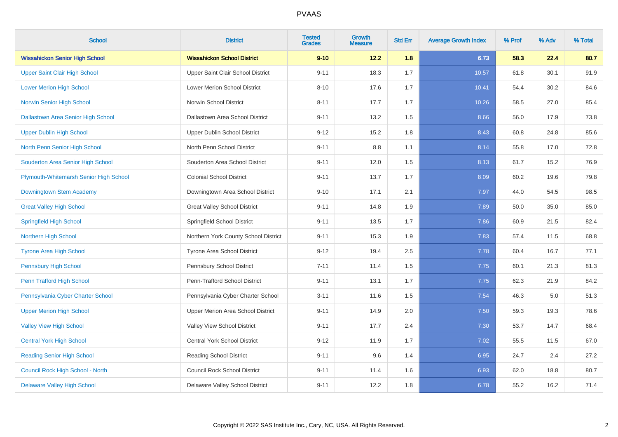| <b>School</b>                          | <b>District</b>                      | <b>Tested</b><br><b>Grades</b> | <b>Growth</b><br><b>Measure</b> | <b>Std Err</b> | <b>Average Growth Index</b> | % Prof | % Adv | % Total |
|----------------------------------------|--------------------------------------|--------------------------------|---------------------------------|----------------|-----------------------------|--------|-------|---------|
| <b>Wissahickon Senior High School</b>  | <b>Wissahickon School District</b>   | $9 - 10$                       | 12.2                            | 1.8            | 6.73                        | 58.3   | 22.4  | 80.7    |
| Upper Saint Clair High School          | Upper Saint Clair School District    | $9 - 11$                       | 18.3                            | 1.7            | 10.57                       | 61.8   | 30.1  | 91.9    |
| <b>Lower Merion High School</b>        | <b>Lower Merion School District</b>  | $8 - 10$                       | 17.6                            | 1.7            | 10.41                       | 54.4   | 30.2  | 84.6    |
| Norwin Senior High School              | Norwin School District               | $8 - 11$                       | 17.7                            | 1.7            | 10.26                       | 58.5   | 27.0  | 85.4    |
| Dallastown Area Senior High School     | Dallastown Area School District      | $9 - 11$                       | 13.2                            | 1.5            | 8.66                        | 56.0   | 17.9  | 73.8    |
| <b>Upper Dublin High School</b>        | Upper Dublin School District         | $9 - 12$                       | 15.2                            | 1.8            | 8.43                        | 60.8   | 24.8  | 85.6    |
| North Penn Senior High School          | North Penn School District           | $9 - 11$                       | 8.8                             | 1.1            | 8.14                        | 55.8   | 17.0  | 72.8    |
| Souderton Area Senior High School      | Souderton Area School District       | $9 - 11$                       | 12.0                            | 1.5            | 8.13                        | 61.7   | 15.2  | 76.9    |
| Plymouth-Whitemarsh Senior High School | <b>Colonial School District</b>      | $9 - 11$                       | 13.7                            | 1.7            | 8.09                        | 60.2   | 19.6  | 79.8    |
| Downingtown Stem Academy               | Downingtown Area School District     | $9 - 10$                       | 17.1                            | 2.1            | 7.97                        | 44.0   | 54.5  | 98.5    |
| <b>Great Valley High School</b>        | <b>Great Valley School District</b>  | $9 - 11$                       | 14.8                            | 1.9            | 7.89                        | 50.0   | 35.0  | 85.0    |
| <b>Springfield High School</b>         | Springfield School District          | $9 - 11$                       | 13.5                            | 1.7            | 7.86                        | 60.9   | 21.5  | 82.4    |
| <b>Northern High School</b>            | Northern York County School District | $9 - 11$                       | 15.3                            | 1.9            | 7.83                        | 57.4   | 11.5  | 68.8    |
| <b>Tyrone Area High School</b>         | Tyrone Area School District          | $9 - 12$                       | 19.4                            | 2.5            | 7.78                        | 60.4   | 16.7  | 77.1    |
| <b>Pennsbury High School</b>           | Pennsbury School District            | $7 - 11$                       | 11.4                            | 1.5            | 7.75                        | 60.1   | 21.3  | 81.3    |
| Penn Trafford High School              | Penn-Trafford School District        | $9 - 11$                       | 13.1                            | 1.7            | 7.75                        | 62.3   | 21.9  | 84.2    |
| Pennsylvania Cyber Charter School      | Pennsylvania Cyber Charter School    | $3 - 11$                       | 11.6                            | 1.5            | 7.54                        | 46.3   | 5.0   | 51.3    |
| <b>Upper Merion High School</b>        | Upper Merion Area School District    | $9 - 11$                       | 14.9                            | $2.0\,$        | 7.50                        | 59.3   | 19.3  | 78.6    |
| <b>Valley View High School</b>         | Valley View School District          | $9 - 11$                       | 17.7                            | 2.4            | 7.30                        | 53.7   | 14.7  | 68.4    |
| <b>Central York High School</b>        | Central York School District         | $9 - 12$                       | 11.9                            | 1.7            | 7.02                        | 55.5   | 11.5  | 67.0    |
| <b>Reading Senior High School</b>      | <b>Reading School District</b>       | $9 - 11$                       | 9.6                             | 1.4            | 6.95                        | 24.7   | 2.4   | 27.2    |
| Council Rock High School - North       | <b>Council Rock School District</b>  | $9 - 11$                       | 11.4                            | 1.6            | 6.93                        | 62.0   | 18.8  | 80.7    |
| <b>Delaware Valley High School</b>     | Delaware Valley School District      | $9 - 11$                       | 12.2                            | 1.8            | 6.78                        | 55.2   | 16.2  | 71.4    |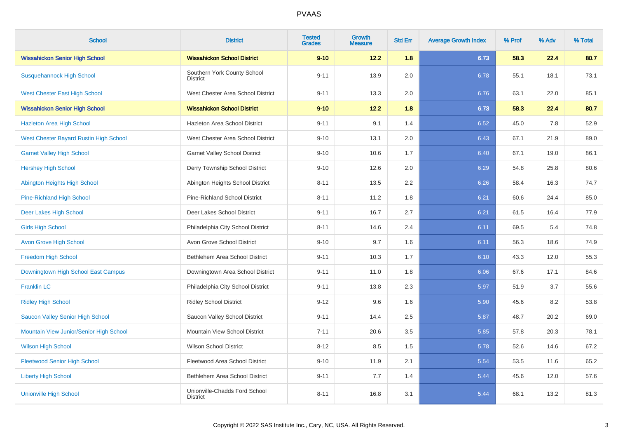| <b>School</b>                           | <b>District</b>                                  | <b>Tested</b><br><b>Grades</b> | Growth<br><b>Measure</b> | <b>Std Err</b> | <b>Average Growth Index</b> | % Prof | % Adv | % Total |
|-----------------------------------------|--------------------------------------------------|--------------------------------|--------------------------|----------------|-----------------------------|--------|-------|---------|
| <b>Wissahickon Senior High School</b>   | <b>Wissahickon School District</b>               | $9 - 10$                       | 12.2                     | 1.8            | 6.73                        | 58.3   | 22.4  | 80.7    |
| <b>Susquehannock High School</b>        | Southern York County School<br><b>District</b>   | $9 - 11$                       | 13.9                     | 2.0            | 6.78                        | 55.1   | 18.1  | 73.1    |
| <b>West Chester East High School</b>    | West Chester Area School District                | $9 - 11$                       | 13.3                     | 2.0            | 6.76                        | 63.1   | 22.0  | 85.1    |
| <b>Wissahickon Senior High School</b>   | <b>Wissahickon School District</b>               | $9 - 10$                       | 12.2                     | 1.8            | 6.73                        | 58.3   | 22.4  | 80.7    |
| <b>Hazleton Area High School</b>        | Hazleton Area School District                    | $9 - 11$                       | 9.1                      | 1.4            | 6.52                        | 45.0   | 7.8   | 52.9    |
| West Chester Bayard Rustin High School  | West Chester Area School District                | $9 - 10$                       | 13.1                     | 2.0            | 6.43                        | 67.1   | 21.9  | 89.0    |
| <b>Garnet Valley High School</b>        | <b>Garnet Valley School District</b>             | $9 - 10$                       | 10.6                     | 1.7            | 6.40                        | 67.1   | 19.0  | 86.1    |
| <b>Hershey High School</b>              | Derry Township School District                   | $9 - 10$                       | 12.6                     | 2.0            | 6.29                        | 54.8   | 25.8  | 80.6    |
| Abington Heights High School            | Abington Heights School District                 | $8 - 11$                       | 13.5                     | 2.2            | 6.26                        | 58.4   | 16.3  | 74.7    |
| <b>Pine-Richland High School</b>        | Pine-Richland School District                    | $8 - 11$                       | 11.2                     | 1.8            | 6.21                        | 60.6   | 24.4  | 85.0    |
| Deer Lakes High School                  | Deer Lakes School District                       | $9 - 11$                       | 16.7                     | 2.7            | 6.21                        | 61.5   | 16.4  | 77.9    |
| <b>Girls High School</b>                | Philadelphia City School District                | $8 - 11$                       | 14.6                     | 2.4            | 6.11                        | 69.5   | 5.4   | 74.8    |
| <b>Avon Grove High School</b>           | Avon Grove School District                       | $9 - 10$                       | 9.7                      | 1.6            | 6.11                        | 56.3   | 18.6  | 74.9    |
| <b>Freedom High School</b>              | Bethlehem Area School District                   | $9 - 11$                       | 10.3                     | 1.7            | 6.10                        | 43.3   | 12.0  | 55.3    |
| Downingtown High School East Campus     | Downingtown Area School District                 | $9 - 11$                       | 11.0                     | 1.8            | 6.06                        | 67.6   | 17.1  | 84.6    |
| <b>Franklin LC</b>                      | Philadelphia City School District                | $9 - 11$                       | 13.8                     | 2.3            | 5.97                        | 51.9   | 3.7   | 55.6    |
| <b>Ridley High School</b>               | <b>Ridley School District</b>                    | $9 - 12$                       | 9.6                      | 1.6            | 5.90                        | 45.6   | 8.2   | 53.8    |
| Saucon Valley Senior High School        | Saucon Valley School District                    | $9 - 11$                       | 14.4                     | 2.5            | 5.87                        | 48.7   | 20.2  | 69.0    |
| Mountain View Junior/Senior High School | Mountain View School District                    | $7 - 11$                       | 20.6                     | 3.5            | 5.85                        | 57.8   | 20.3  | 78.1    |
| <b>Wilson High School</b>               | <b>Wilson School District</b>                    | $8 - 12$                       | 8.5                      | 1.5            | 5.78                        | 52.6   | 14.6  | 67.2    |
| <b>Fleetwood Senior High School</b>     | Fleetwood Area School District                   | $9 - 10$                       | 11.9                     | 2.1            | 5.54                        | 53.5   | 11.6  | 65.2    |
| <b>Liberty High School</b>              | Bethlehem Area School District                   | $9 - 11$                       | 7.7                      | 1.4            | 5.44                        | 45.6   | 12.0  | 57.6    |
| <b>Unionville High School</b>           | Unionville-Chadds Ford School<br><b>District</b> | $8 - 11$                       | 16.8                     | 3.1            | 5.44                        | 68.1   | 13.2  | 81.3    |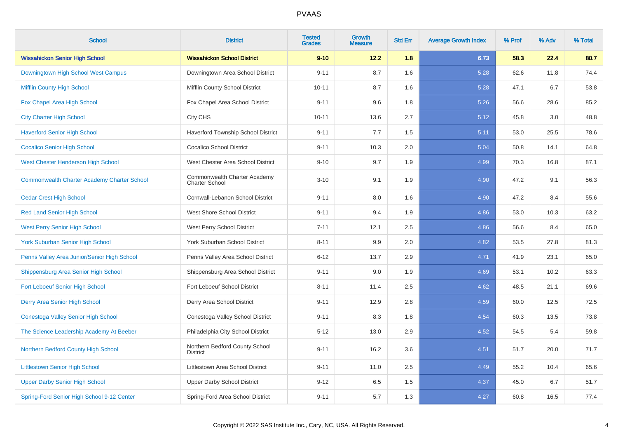| <b>School</b>                                      | <b>District</b>                                       | <b>Tested</b><br><b>Grades</b> | Growth<br><b>Measure</b> | <b>Std Err</b> | <b>Average Growth Index</b> | % Prof | % Adv | % Total |
|----------------------------------------------------|-------------------------------------------------------|--------------------------------|--------------------------|----------------|-----------------------------|--------|-------|---------|
| <b>Wissahickon Senior High School</b>              | <b>Wissahickon School District</b>                    | $9 - 10$                       | 12.2                     | 1.8            | 6.73                        | 58.3   | 22.4  | 80.7    |
| Downingtown High School West Campus                | Downingtown Area School District                      | $9 - 11$                       | 8.7                      | 1.6            | 5.28                        | 62.6   | 11.8  | 74.4    |
| <b>Mifflin County High School</b>                  | Mifflin County School District                        | $10 - 11$                      | 8.7                      | 1.6            | 5.28                        | 47.1   | 6.7   | 53.8    |
| Fox Chapel Area High School                        | Fox Chapel Area School District                       | $9 - 11$                       | 9.6                      | 1.8            | 5.26                        | 56.6   | 28.6  | 85.2    |
| <b>City Charter High School</b>                    | City CHS                                              | $10 - 11$                      | 13.6                     | 2.7            | 5.12                        | 45.8   | 3.0   | 48.8    |
| <b>Haverford Senior High School</b>                | Haverford Township School District                    | $9 - 11$                       | 7.7                      | 1.5            | 5.11                        | 53.0   | 25.5  | 78.6    |
| <b>Cocalico Senior High School</b>                 | <b>Cocalico School District</b>                       | $9 - 11$                       | 10.3                     | 2.0            | 5.04                        | 50.8   | 14.1  | 64.8    |
| West Chester Henderson High School                 | West Chester Area School District                     | $9 - 10$                       | 9.7                      | 1.9            | 4.99                        | 70.3   | 16.8  | 87.1    |
| <b>Commonwealth Charter Academy Charter School</b> | Commonwealth Charter Academy<br><b>Charter School</b> | $3 - 10$                       | 9.1                      | 1.9            | 4.90                        | 47.2   | 9.1   | 56.3    |
| <b>Cedar Crest High School</b>                     | Cornwall-Lebanon School District                      | $9 - 11$                       | 8.0                      | 1.6            | 4.90                        | 47.2   | 8.4   | 55.6    |
| <b>Red Land Senior High School</b>                 | <b>West Shore School District</b>                     | $9 - 11$                       | 9.4                      | 1.9            | 4.86                        | 53.0   | 10.3  | 63.2    |
| <b>West Perry Senior High School</b>               | West Perry School District                            | $7 - 11$                       | 12.1                     | 2.5            | 4.86                        | 56.6   | 8.4   | 65.0    |
| <b>York Suburban Senior High School</b>            | York Suburban School District                         | $8 - 11$                       | 9.9                      | 2.0            | 4.82                        | 53.5   | 27.8  | 81.3    |
| Penns Valley Area Junior/Senior High School        | Penns Valley Area School District                     | $6 - 12$                       | 13.7                     | 2.9            | 4.71                        | 41.9   | 23.1  | 65.0    |
| Shippensburg Area Senior High School               | Shippensburg Area School District                     | $9 - 11$                       | 9.0                      | 1.9            | 4.69                        | 53.1   | 10.2  | 63.3    |
| Fort Leboeuf Senior High School                    | Fort Leboeuf School District                          | $8 - 11$                       | 11.4                     | 2.5            | 4.62                        | 48.5   | 21.1  | 69.6    |
| Derry Area Senior High School                      | Derry Area School District                            | $9 - 11$                       | 12.9                     | 2.8            | 4.59                        | 60.0   | 12.5  | 72.5    |
| Conestoga Valley Senior High School                | Conestoga Valley School District                      | $9 - 11$                       | 8.3                      | 1.8            | 4.54                        | 60.3   | 13.5  | 73.8    |
| The Science Leadership Academy At Beeber           | Philadelphia City School District                     | $5 - 12$                       | 13.0                     | 2.9            | 4.52                        | 54.5   | 5.4   | 59.8    |
| Northern Bedford County High School                | Northern Bedford County School<br><b>District</b>     | $9 - 11$                       | 16.2                     | 3.6            | 4.51                        | 51.7   | 20.0  | 71.7    |
| <b>Littlestown Senior High School</b>              | <b>Littlestown Area School District</b>               | $9 - 11$                       | 11.0                     | 2.5            | 4.49                        | 55.2   | 10.4  | 65.6    |
| <b>Upper Darby Senior High School</b>              | <b>Upper Darby School District</b>                    | $9 - 12$                       | 6.5                      | 1.5            | 4.37                        | 45.0   | 6.7   | 51.7    |
| Spring-Ford Senior High School 9-12 Center         | Spring-Ford Area School District                      | $9 - 11$                       | 5.7                      | 1.3            | 4.27                        | 60.8   | 16.5  | 77.4    |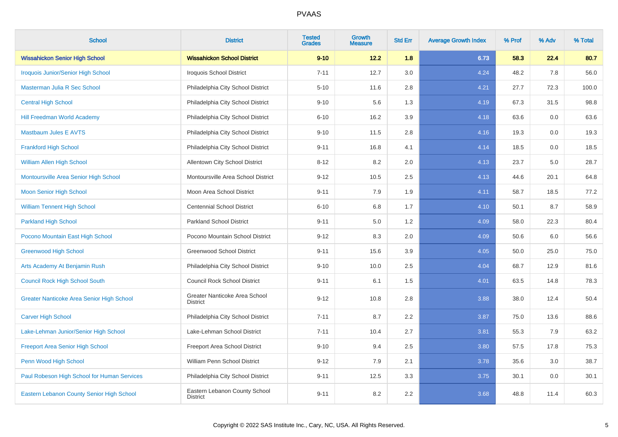| <b>School</b>                               | <b>District</b>                                  | <b>Tested</b><br><b>Grades</b> | Growth<br><b>Measure</b> | <b>Std Err</b> | <b>Average Growth Index</b> | % Prof | % Adv   | % Total |
|---------------------------------------------|--------------------------------------------------|--------------------------------|--------------------------|----------------|-----------------------------|--------|---------|---------|
| <b>Wissahickon Senior High School</b>       | <b>Wissahickon School District</b>               | $9 - 10$                       | 12.2                     | 1.8            | 6.73                        | 58.3   | 22.4    | 80.7    |
| Iroquois Junior/Senior High School          | Iroquois School District                         | $7 - 11$                       | 12.7                     | 3.0            | 4.24                        | 48.2   | 7.8     | 56.0    |
| Masterman Julia R Sec School                | Philadelphia City School District                | $5 - 10$                       | 11.6                     | 2.8            | 4.21                        | 27.7   | 72.3    | 100.0   |
| <b>Central High School</b>                  | Philadelphia City School District                | $9 - 10$                       | 5.6                      | 1.3            | 4.19                        | 67.3   | 31.5    | 98.8    |
| <b>Hill Freedman World Academy</b>          | Philadelphia City School District                | $6 - 10$                       | 16.2                     | 3.9            | 4.18                        | 63.6   | 0.0     | 63.6    |
| <b>Mastbaum Jules E AVTS</b>                | Philadelphia City School District                | $9 - 10$                       | 11.5                     | 2.8            | 4.16                        | 19.3   | 0.0     | 19.3    |
| <b>Frankford High School</b>                | Philadelphia City School District                | $9 - 11$                       | 16.8                     | 4.1            | 4.14                        | 18.5   | 0.0     | 18.5    |
| <b>William Allen High School</b>            | Allentown City School District                   | $8 - 12$                       | 8.2                      | 2.0            | 4.13                        | 23.7   | $5.0\,$ | 28.7    |
| Montoursville Area Senior High School       | Montoursville Area School District               | $9 - 12$                       | 10.5                     | 2.5            | 4.13                        | 44.6   | 20.1    | 64.8    |
| <b>Moon Senior High School</b>              | Moon Area School District                        | $9 - 11$                       | 7.9                      | 1.9            | 4.11                        | 58.7   | 18.5    | 77.2    |
| <b>William Tennent High School</b>          | <b>Centennial School District</b>                | $6 - 10$                       | 6.8                      | 1.7            | 4.10                        | 50.1   | 8.7     | 58.9    |
| <b>Parkland High School</b>                 | Parkland School District                         | $9 - 11$                       | 5.0                      | 1.2            | 4.09                        | 58.0   | 22.3    | 80.4    |
| Pocono Mountain East High School            | Pocono Mountain School District                  | $9 - 12$                       | 8.3                      | 2.0            | 4.09                        | 50.6   | 6.0     | 56.6    |
| <b>Greenwood High School</b>                | <b>Greenwood School District</b>                 | $9 - 11$                       | 15.6                     | 3.9            | 4.05                        | 50.0   | 25.0    | 75.0    |
| Arts Academy At Benjamin Rush               | Philadelphia City School District                | $9 - 10$                       | 10.0                     | 2.5            | 4.04                        | 68.7   | 12.9    | 81.6    |
| <b>Council Rock High School South</b>       | <b>Council Rock School District</b>              | $9 - 11$                       | 6.1                      | 1.5            | 4.01                        | 63.5   | 14.8    | 78.3    |
| Greater Nanticoke Area Senior High School   | Greater Nanticoke Area School<br><b>District</b> | $9 - 12$                       | 10.8                     | 2.8            | 3.88                        | 38.0   | 12.4    | 50.4    |
| <b>Carver High School</b>                   | Philadelphia City School District                | $7 - 11$                       | 8.7                      | 2.2            | 3.87                        | 75.0   | 13.6    | 88.6    |
| Lake-Lehman Junior/Senior High School       | Lake-Lehman School District                      | $7 - 11$                       | 10.4                     | 2.7            | 3.81                        | 55.3   | 7.9     | 63.2    |
| <b>Freeport Area Senior High School</b>     | Freeport Area School District                    | $9 - 10$                       | 9.4                      | 2.5            | 3.80                        | 57.5   | 17.8    | 75.3    |
| Penn Wood High School                       | William Penn School District                     | $9 - 12$                       | 7.9                      | 2.1            | 3.78                        | 35.6   | 3.0     | 38.7    |
| Paul Robeson High School for Human Services | Philadelphia City School District                | $9 - 11$                       | 12.5                     | 3.3            | 3.75                        | 30.1   | 0.0     | 30.1    |
| Eastern Lebanon County Senior High School   | Eastern Lebanon County School<br><b>District</b> | $9 - 11$                       | 8.2                      | 2.2            | 3.68                        | 48.8   | 11.4    | 60.3    |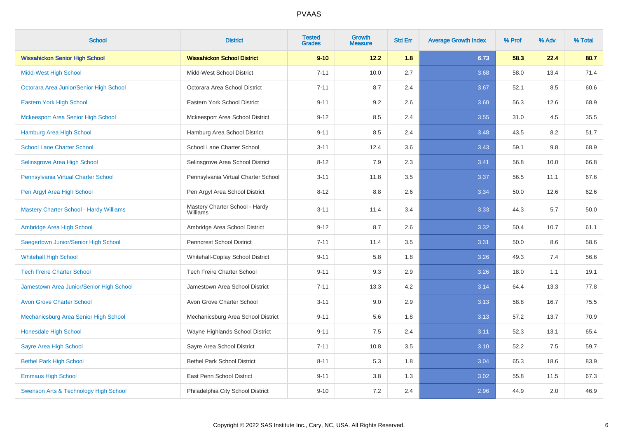| <b>School</b>                                  | <b>District</b>                            | <b>Tested</b><br><b>Grades</b> | Growth<br><b>Measure</b> | <b>Std Err</b> | <b>Average Growth Index</b> | % Prof | % Adv | % Total |
|------------------------------------------------|--------------------------------------------|--------------------------------|--------------------------|----------------|-----------------------------|--------|-------|---------|
| <b>Wissahickon Senior High School</b>          | <b>Wissahickon School District</b>         | $9 - 10$                       | 12.2                     | 1.8            | 6.73                        | 58.3   | 22.4  | 80.7    |
| <b>Midd-West High School</b>                   | Midd-West School District                  | $7 - 11$                       | 10.0                     | 2.7            | 3.68                        | 58.0   | 13.4  | 71.4    |
| Octorara Area Junior/Senior High School        | Octorara Area School District              | $7 - 11$                       | 8.7                      | 2.4            | 3.67                        | 52.1   | 8.5   | 60.6    |
| Eastern York High School                       | Eastern York School District               | $9 - 11$                       | 9.2                      | 2.6            | 3.60                        | 56.3   | 12.6  | 68.9    |
| <b>Mckeesport Area Senior High School</b>      | Mckeesport Area School District            | $9 - 12$                       | 8.5                      | 2.4            | 3.55                        | 31.0   | 4.5   | 35.5    |
| Hamburg Area High School                       | Hamburg Area School District               | $9 - 11$                       | 8.5                      | 2.4            | 3.48                        | 43.5   | 8.2   | 51.7    |
| <b>School Lane Charter School</b>              | School Lane Charter School                 | $3 - 11$                       | 12.4                     | 3.6            | 3.43                        | 59.1   | 9.8   | 68.9    |
| Selinsgrove Area High School                   | Selinsgrove Area School District           | $8 - 12$                       | 7.9                      | 2.3            | 3.41                        | 56.8   | 10.0  | 66.8    |
| Pennsylvania Virtual Charter School            | Pennsylvania Virtual Charter School        | $3 - 11$                       | 11.8                     | 3.5            | 3.37                        | 56.5   | 11.1  | 67.6    |
| Pen Argyl Area High School                     | Pen Argyl Area School District             | $8 - 12$                       | 8.8                      | 2.6            | 3.34                        | 50.0   | 12.6  | 62.6    |
| <b>Mastery Charter School - Hardy Williams</b> | Mastery Charter School - Hardy<br>Williams | $3 - 11$                       | 11.4                     | 3.4            | 3.33                        | 44.3   | 5.7   | 50.0    |
| Ambridge Area High School                      | Ambridge Area School District              | $9 - 12$                       | 8.7                      | 2.6            | 3.32                        | 50.4   | 10.7  | 61.1    |
| Saegertown Junior/Senior High School           | <b>Penncrest School District</b>           | $7 - 11$                       | 11.4                     | 3.5            | 3.31                        | 50.0   | 8.6   | 58.6    |
| <b>Whitehall High School</b>                   | Whitehall-Coplay School District           | $9 - 11$                       | 5.8                      | 1.8            | 3.26                        | 49.3   | 7.4   | 56.6    |
| <b>Tech Freire Charter School</b>              | <b>Tech Freire Charter School</b>          | $9 - 11$                       | 9.3                      | 2.9            | 3.26                        | 18.0   | 1.1   | 19.1    |
| Jamestown Area Junior/Senior High School       | Jamestown Area School District             | $7 - 11$                       | 13.3                     | 4.2            | 3.14                        | 64.4   | 13.3  | 77.8    |
| <b>Avon Grove Charter School</b>               | Avon Grove Charter School                  | $3 - 11$                       | 9.0                      | 2.9            | 3.13                        | 58.8   | 16.7  | 75.5    |
| Mechanicsburg Area Senior High School          | Mechanicsburg Area School District         | $9 - 11$                       | 5.6                      | 1.8            | 3.13                        | 57.2   | 13.7  | 70.9    |
| Honesdale High School                          | Wayne Highlands School District            | $9 - 11$                       | $7.5\,$                  | 2.4            | 3.11                        | 52.3   | 13.1  | 65.4    |
| Sayre Area High School                         | Sayre Area School District                 | $7 - 11$                       | 10.8                     | 3.5            | 3.10                        | 52.2   | 7.5   | 59.7    |
| <b>Bethel Park High School</b>                 | <b>Bethel Park School District</b>         | $8 - 11$                       | 5.3                      | 1.8            | 3.04                        | 65.3   | 18.6  | 83.9    |
| <b>Emmaus High School</b>                      | East Penn School District                  | $9 - 11$                       | 3.8                      | 1.3            | 3.02                        | 55.8   | 11.5  | 67.3    |
| Swenson Arts & Technology High School          | Philadelphia City School District          | $9 - 10$                       | 7.2                      | 2.4            | 2.96                        | 44.9   | 2.0   | 46.9    |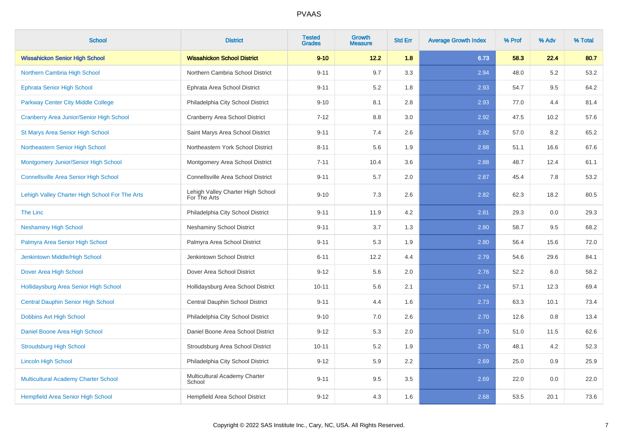| <b>School</b>                                   | <b>District</b>                                   | <b>Tested</b><br><b>Grades</b> | <b>Growth</b><br><b>Measure</b> | <b>Std Err</b> | <b>Average Growth Index</b> | % Prof | % Adv | % Total |
|-------------------------------------------------|---------------------------------------------------|--------------------------------|---------------------------------|----------------|-----------------------------|--------|-------|---------|
| <b>Wissahickon Senior High School</b>           | <b>Wissahickon School District</b>                | $9 - 10$                       | 12.2                            | 1.8            | 6.73                        | 58.3   | 22.4  | 80.7    |
| Northern Cambria High School                    | Northern Cambria School District                  | $9 - 11$                       | 9.7                             | 3.3            | 2.94                        | 48.0   | 5.2   | 53.2    |
| <b>Ephrata Senior High School</b>               | Ephrata Area School District                      | $9 - 11$                       | 5.2                             | 1.8            | 2.93                        | 54.7   | 9.5   | 64.2    |
| Parkway Center City Middle College              | Philadelphia City School District                 | $9 - 10$                       | 8.1                             | 2.8            | 2.93                        | 77.0   | 4.4   | 81.4    |
| <b>Cranberry Area Junior/Senior High School</b> | Cranberry Area School District                    | $7 - 12$                       | 8.8                             | 3.0            | 2.92                        | 47.5   | 10.2  | 57.6    |
| St Marys Area Senior High School                | Saint Marys Area School District                  | $9 - 11$                       | 7.4                             | 2.6            | 2.92                        | 57.0   | 8.2   | 65.2    |
| Northeastern Senior High School                 | Northeastern York School District                 | $8 - 11$                       | 5.6                             | 1.9            | 2.88                        | 51.1   | 16.6  | 67.6    |
| Montgomery Junior/Senior High School            | Montgomery Area School District                   | $7 - 11$                       | 10.4                            | 3.6            | 2.88                        | 48.7   | 12.4  | 61.1    |
| <b>Connellsville Area Senior High School</b>    | Connellsville Area School District                | $9 - 11$                       | $5.7\,$                         | 2.0            | 2.87                        | 45.4   | 7.8   | 53.2    |
| Lehigh Valley Charter High School For The Arts  | Lehigh Valley Charter High School<br>For The Arts | $9 - 10$                       | 7.3                             | 2.6            | 2.82                        | 62.3   | 18.2  | 80.5    |
| The Linc                                        | Philadelphia City School District                 | $9 - 11$                       | 11.9                            | 4.2            | 2.81                        | 29.3   | 0.0   | 29.3    |
| <b>Neshaminy High School</b>                    | <b>Neshaminy School District</b>                  | $9 - 11$                       | 3.7                             | 1.3            | 2.80                        | 58.7   | 9.5   | 68.2    |
| Palmyra Area Senior High School                 | Palmyra Area School District                      | $9 - 11$                       | 5.3                             | 1.9            | 2.80                        | 56.4   | 15.6  | 72.0    |
| Jenkintown Middle/High School                   | Jenkintown School District                        | $6 - 11$                       | 12.2                            | 4.4            | 2.79                        | 54.6   | 29.6  | 84.1    |
| Dover Area High School                          | Dover Area School District                        | $9 - 12$                       | 5.6                             | 2.0            | 2.76                        | 52.2   | 6.0   | 58.2    |
| Hollidaysburg Area Senior High School           | Hollidaysburg Area School District                | $10 - 11$                      | 5.6                             | 2.1            | 2.74                        | 57.1   | 12.3  | 69.4    |
| <b>Central Dauphin Senior High School</b>       | Central Dauphin School District                   | $9 - 11$                       | 4.4                             | 1.6            | 2.73                        | 63.3   | 10.1  | 73.4    |
| <b>Dobbins Avt High School</b>                  | Philadelphia City School District                 | $9 - 10$                       | 7.0                             | 2.6            | 2.70                        | 12.6   | 0.8   | 13.4    |
| Daniel Boone Area High School                   | Daniel Boone Area School District                 | $9 - 12$                       | 5.3                             | 2.0            | 2.70                        | 51.0   | 11.5  | 62.6    |
| <b>Stroudsburg High School</b>                  | Stroudsburg Area School District                  | $10 - 11$                      | 5.2                             | 1.9            | 2.70                        | 48.1   | 4.2   | 52.3    |
| <b>Lincoln High School</b>                      | Philadelphia City School District                 | $9 - 12$                       | 5.9                             | $2.2\,$        | 2.69                        | 25.0   | 0.9   | 25.9    |
| Multicultural Academy Charter School            | Multicultural Academy Charter<br>School           | $9 - 11$                       | 9.5                             | 3.5            | 2.69                        | 22.0   | 0.0   | 22.0    |
| <b>Hempfield Area Senior High School</b>        | <b>Hempfield Area School District</b>             | $9 - 12$                       | 4.3                             | 1.6            | 2.68                        | 53.5   | 20.1  | 73.6    |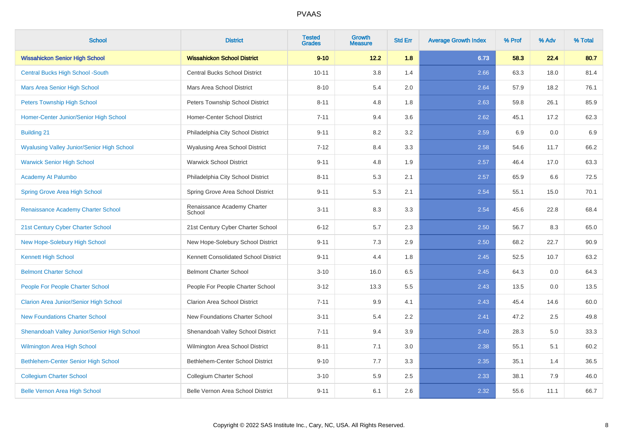| <b>School</b>                                     | <b>District</b>                       | <b>Tested</b><br><b>Grades</b> | <b>Growth</b><br><b>Measure</b> | <b>Std Err</b> | <b>Average Growth Index</b> | % Prof | % Adv | % Total |
|---------------------------------------------------|---------------------------------------|--------------------------------|---------------------------------|----------------|-----------------------------|--------|-------|---------|
| <b>Wissahickon Senior High School</b>             | <b>Wissahickon School District</b>    | $9 - 10$                       | 12.2                            | 1.8            | 6.73                        | 58.3   | 22.4  | 80.7    |
| <b>Central Bucks High School -South</b>           | <b>Central Bucks School District</b>  | $10 - 11$                      | 3.8                             | 1.4            | 2.66                        | 63.3   | 18.0  | 81.4    |
| <b>Mars Area Senior High School</b>               | Mars Area School District             | $8 - 10$                       | 5.4                             | 2.0            | 2.64                        | 57.9   | 18.2  | 76.1    |
| <b>Peters Township High School</b>                | Peters Township School District       | $8 - 11$                       | 4.8                             | 1.8            | 2.63                        | 59.8   | 26.1  | 85.9    |
| Homer-Center Junior/Senior High School            | Homer-Center School District          | $7 - 11$                       | 9.4                             | 3.6            | 2.62                        | 45.1   | 17.2  | 62.3    |
| <b>Building 21</b>                                | Philadelphia City School District     | $9 - 11$                       | 8.2                             | 3.2            | 2.59                        | 6.9    | 0.0   | 6.9     |
| <b>Wyalusing Valley Junior/Senior High School</b> | Wyalusing Area School District        | $7 - 12$                       | 8.4                             | 3.3            | 2.58                        | 54.6   | 11.7  | 66.2    |
| <b>Warwick Senior High School</b>                 | <b>Warwick School District</b>        | $9 - 11$                       | 4.8                             | 1.9            | 2.57                        | 46.4   | 17.0  | 63.3    |
| Academy At Palumbo                                | Philadelphia City School District     | $8 - 11$                       | 5.3                             | 2.1            | 2.57                        | 65.9   | 6.6   | 72.5    |
| <b>Spring Grove Area High School</b>              | Spring Grove Area School District     | $9 - 11$                       | 5.3                             | 2.1            | 2.54                        | 55.1   | 15.0  | 70.1    |
| Renaissance Academy Charter School                | Renaissance Academy Charter<br>School | $3 - 11$                       | 8.3                             | 3.3            | 2.54                        | 45.6   | 22.8  | 68.4    |
| 21st Century Cyber Charter School                 | 21st Century Cyber Charter School     | $6 - 12$                       | 5.7                             | 2.3            | 2.50                        | 56.7   | 8.3   | 65.0    |
| New Hope-Solebury High School                     | New Hope-Solebury School District     | $9 - 11$                       | 7.3                             | 2.9            | 2.50                        | 68.2   | 22.7  | 90.9    |
| <b>Kennett High School</b>                        | Kennett Consolidated School District  | $9 - 11$                       | 4.4                             | 1.8            | 2.45                        | 52.5   | 10.7  | 63.2    |
| <b>Belmont Charter School</b>                     | <b>Belmont Charter School</b>         | $3 - 10$                       | 16.0                            | 6.5            | 2.45                        | 64.3   | 0.0   | 64.3    |
| People For People Charter School                  | People For People Charter School      | $3 - 12$                       | 13.3                            | 5.5            | 2.43                        | 13.5   | 0.0   | 13.5    |
| <b>Clarion Area Junior/Senior High School</b>     | <b>Clarion Area School District</b>   | $7 - 11$                       | 9.9                             | 4.1            | 2.43                        | 45.4   | 14.6  | 60.0    |
| <b>New Foundations Charter School</b>             | New Foundations Charter School        | $3 - 11$                       | 5.4                             | 2.2            | 2.41                        | 47.2   | 2.5   | 49.8    |
| Shenandoah Valley Junior/Senior High School       | Shenandoah Valley School District     | $7 - 11$                       | 9.4                             | 3.9            | 2.40                        | 28.3   | 5.0   | 33.3    |
| <b>Wilmington Area High School</b>                | Wilmington Area School District       | $8 - 11$                       | 7.1                             | 3.0            | 2.38                        | 55.1   | 5.1   | 60.2    |
| Bethlehem-Center Senior High School               | Bethlehem-Center School District      | $9 - 10$                       | 7.7                             | 3.3            | 2.35                        | 35.1   | 1.4   | 36.5    |
| <b>Collegium Charter School</b>                   | Collegium Charter School              | $3 - 10$                       | 5.9                             | 2.5            | 2.33                        | 38.1   | 7.9   | 46.0    |
| <b>Belle Vernon Area High School</b>              | Belle Vernon Area School District     | $9 - 11$                       | 6.1                             | 2.6            | 2.32                        | 55.6   | 11.1  | 66.7    |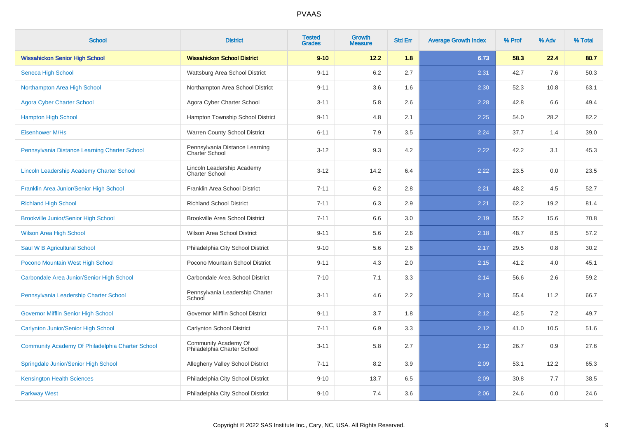| <b>School</b>                                           | <b>District</b>                                         | <b>Tested</b><br><b>Grades</b> | Growth<br><b>Measure</b> | <b>Std Err</b> | <b>Average Growth Index</b> | % Prof | % Adv | % Total |
|---------------------------------------------------------|---------------------------------------------------------|--------------------------------|--------------------------|----------------|-----------------------------|--------|-------|---------|
| <b>Wissahickon Senior High School</b>                   | <b>Wissahickon School District</b>                      | $9 - 10$                       | 12.2                     | 1.8            | 6.73                        | 58.3   | 22.4  | 80.7    |
| Seneca High School                                      | Wattsburg Area School District                          | $9 - 11$                       | 6.2                      | 2.7            | 2.31                        | 42.7   | 7.6   | 50.3    |
| Northampton Area High School                            | Northampton Area School District                        | $9 - 11$                       | 3.6                      | 1.6            | 2.30                        | 52.3   | 10.8  | 63.1    |
| <b>Agora Cyber Charter School</b>                       | Agora Cyber Charter School                              | $3 - 11$                       | 5.8                      | 2.6            | 2.28                        | 42.8   | 6.6   | 49.4    |
| <b>Hampton High School</b>                              | Hampton Township School District                        | $9 - 11$                       | 4.8                      | 2.1            | 2.25                        | 54.0   | 28.2  | 82.2    |
| Eisenhower M/Hs                                         | Warren County School District                           | $6 - 11$                       | 7.9                      | 3.5            | 2.24                        | 37.7   | 1.4   | 39.0    |
| Pennsylvania Distance Learning Charter School           | Pennsylvania Distance Learning<br><b>Charter School</b> | $3 - 12$                       | 9.3                      | 4.2            | 2.22                        | 42.2   | 3.1   | 45.3    |
| <b>Lincoln Leadership Academy Charter School</b>        | Lincoln Leadership Academy<br><b>Charter School</b>     | $3 - 12$                       | 14.2                     | 6.4            | 2.22                        | 23.5   | 0.0   | 23.5    |
| Franklin Area Junior/Senior High School                 | Franklin Area School District                           | $7 - 11$                       | 6.2                      | 2.8            | 2.21                        | 48.2   | 4.5   | 52.7    |
| <b>Richland High School</b>                             | <b>Richland School District</b>                         | $7 - 11$                       | 6.3                      | 2.9            | 2.21                        | 62.2   | 19.2  | 81.4    |
| <b>Brookville Junior/Senior High School</b>             | <b>Brookville Area School District</b>                  | $7 - 11$                       | 6.6                      | 3.0            | 2.19                        | 55.2   | 15.6  | 70.8    |
| <b>Wilson Area High School</b>                          | <b>Wilson Area School District</b>                      | $9 - 11$                       | 5.6                      | 2.6            | 2.18                        | 48.7   | 8.5   | 57.2    |
| Saul W B Agricultural School                            | Philadelphia City School District                       | $9 - 10$                       | 5.6                      | 2.6            | 2.17                        | 29.5   | 0.8   | 30.2    |
| Pocono Mountain West High School                        | Pocono Mountain School District                         | $9 - 11$                       | 4.3                      | 2.0            | 2.15                        | 41.2   | 4.0   | 45.1    |
| Carbondale Area Junior/Senior High School               | Carbondale Area School District                         | $7 - 10$                       | 7.1                      | 3.3            | 2.14                        | 56.6   | 2.6   | 59.2    |
| Pennsylvania Leadership Charter School                  | Pennsylvania Leadership Charter<br>School               | $3 - 11$                       | 4.6                      | 2.2            | 2.13                        | 55.4   | 11.2  | 66.7    |
| <b>Governor Mifflin Senior High School</b>              | Governor Mifflin School District                        | $9 - 11$                       | 3.7                      | 1.8            | 2.12                        | 42.5   | 7.2   | 49.7    |
| <b>Carlynton Junior/Senior High School</b>              | <b>Carlynton School District</b>                        | $7 - 11$                       | 6.9                      | 3.3            | 2.12                        | 41.0   | 10.5  | 51.6    |
| <b>Community Academy Of Philadelphia Charter School</b> | Community Academy Of<br>Philadelphia Charter School     | $3 - 11$                       | 5.8                      | 2.7            | 2.12                        | 26.7   | 0.9   | 27.6    |
| Springdale Junior/Senior High School                    | Allegheny Valley School District                        | $7 - 11$                       | 8.2                      | 3.9            | 2.09                        | 53.1   | 12.2  | 65.3    |
| <b>Kensington Health Sciences</b>                       | Philadelphia City School District                       | $9 - 10$                       | 13.7                     | 6.5            | 2.09                        | 30.8   | 7.7   | 38.5    |
| <b>Parkway West</b>                                     | Philadelphia City School District                       | $9 - 10$                       | 7.4                      | 3.6            | 2.06                        | 24.6   | 0.0   | 24.6    |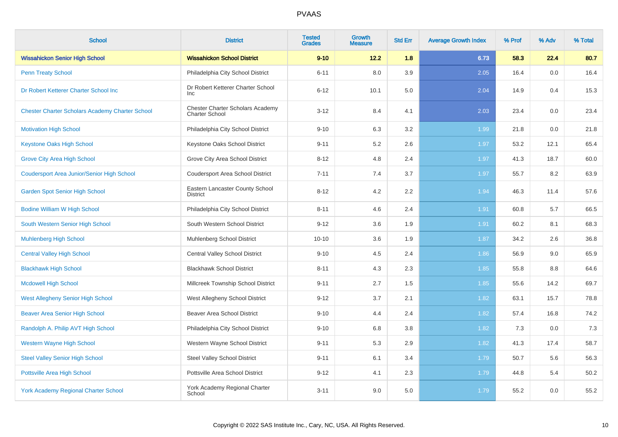| <b>School</b>                                          | <b>District</b>                                           | <b>Tested</b><br><b>Grades</b> | Growth<br><b>Measure</b> | <b>Std Err</b> | <b>Average Growth Index</b> | % Prof | % Adv | % Total |
|--------------------------------------------------------|-----------------------------------------------------------|--------------------------------|--------------------------|----------------|-----------------------------|--------|-------|---------|
| <b>Wissahickon Senior High School</b>                  | <b>Wissahickon School District</b>                        | $9 - 10$                       | 12.2                     | 1.8            | 6.73                        | 58.3   | 22.4  | 80.7    |
| <b>Penn Treaty School</b>                              | Philadelphia City School District                         | $6 - 11$                       | 8.0                      | 3.9            | 2.05                        | 16.4   | 0.0   | 16.4    |
| Dr Robert Ketterer Charter School Inc                  | Dr Robert Ketterer Charter School<br><b>Inc</b>           | $6 - 12$                       | 10.1                     | 5.0            | 2.04                        | 14.9   | 0.4   | 15.3    |
| <b>Chester Charter Scholars Academy Charter School</b> | Chester Charter Scholars Academy<br><b>Charter School</b> | $3 - 12$                       | 8.4                      | 4.1            | 2.03                        | 23.4   | 0.0   | 23.4    |
| <b>Motivation High School</b>                          | Philadelphia City School District                         | $9 - 10$                       | 6.3                      | 3.2            | 1.99                        | 21.8   | 0.0   | 21.8    |
| <b>Keystone Oaks High School</b>                       | Keystone Oaks School District                             | $9 - 11$                       | 5.2                      | 2.6            | 1.97                        | 53.2   | 12.1  | 65.4    |
| <b>Grove City Area High School</b>                     | Grove City Area School District                           | $8 - 12$                       | 4.8                      | 2.4            | 1.97                        | 41.3   | 18.7  | 60.0    |
| <b>Coudersport Area Junior/Senior High School</b>      | <b>Coudersport Area School District</b>                   | $7 - 11$                       | 7.4                      | 3.7            | 1.97                        | 55.7   | 8.2   | 63.9    |
| <b>Garden Spot Senior High School</b>                  | Eastern Lancaster County School<br><b>District</b>        | $8 - 12$                       | 4.2                      | 2.2            | 1.94                        | 46.3   | 11.4  | 57.6    |
| <b>Bodine William W High School</b>                    | Philadelphia City School District                         | $8 - 11$                       | 4.6                      | 2.4            | 1.91                        | 60.8   | 5.7   | 66.5    |
| South Western Senior High School                       | South Western School District                             | $9 - 12$                       | 3.6                      | 1.9            | 1.91                        | 60.2   | 8.1   | 68.3    |
| <b>Muhlenberg High School</b>                          | Muhlenberg School District                                | $10 - 10$                      | 3.6                      | 1.9            | 1.87                        | 34.2   | 2.6   | 36.8    |
| <b>Central Valley High School</b>                      | <b>Central Valley School District</b>                     | $9 - 10$                       | 4.5                      | 2.4            | 1.86                        | 56.9   | 9.0   | 65.9    |
| <b>Blackhawk High School</b>                           | <b>Blackhawk School District</b>                          | $8 - 11$                       | 4.3                      | 2.3            | 1.85                        | 55.8   | 8.8   | 64.6    |
| <b>Mcdowell High School</b>                            | Millcreek Township School District                        | $9 - 11$                       | 2.7                      | 1.5            | 1.85                        | 55.6   | 14.2  | 69.7    |
| <b>West Allegheny Senior High School</b>               | West Allegheny School District                            | $9 - 12$                       | 3.7                      | 2.1            | 1.82                        | 63.1   | 15.7  | 78.8    |
| <b>Beaver Area Senior High School</b>                  | <b>Beaver Area School District</b>                        | $9 - 10$                       | 4.4                      | 2.4            | 1.82                        | 57.4   | 16.8  | 74.2    |
| Randolph A. Philip AVT High School                     | Philadelphia City School District                         | $9 - 10$                       | 6.8                      | 3.8            | 1.82                        | 7.3    | 0.0   | 7.3     |
| <b>Western Wayne High School</b>                       | Western Wayne School District                             | $9 - 11$                       | 5.3                      | 2.9            | 1.82                        | 41.3   | 17.4  | 58.7    |
| <b>Steel Valley Senior High School</b>                 | <b>Steel Valley School District</b>                       | $9 - 11$                       | 6.1                      | 3.4            | 1.79                        | 50.7   | 5.6   | 56.3    |
| Pottsville Area High School                            | Pottsville Area School District                           | $9 - 12$                       | 4.1                      | 2.3            | 1.79                        | 44.8   | 5.4   | 50.2    |
| <b>York Academy Regional Charter School</b>            | York Academy Regional Charter<br>School                   | $3 - 11$                       | 9.0                      | 5.0            | 1.79                        | 55.2   | 0.0   | 55.2    |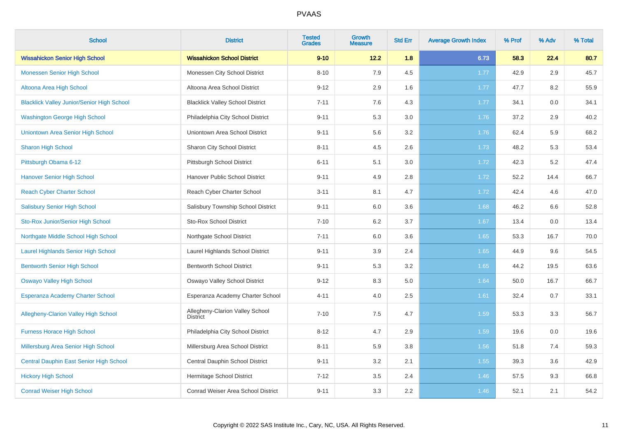| <b>School</b>                                     | <b>District</b>                                    | <b>Tested</b><br><b>Grades</b> | <b>Growth</b><br><b>Measure</b> | <b>Std Err</b> | <b>Average Growth Index</b> | % Prof | % Adv | % Total |
|---------------------------------------------------|----------------------------------------------------|--------------------------------|---------------------------------|----------------|-----------------------------|--------|-------|---------|
| <b>Wissahickon Senior High School</b>             | <b>Wissahickon School District</b>                 | $9 - 10$                       | 12.2                            | 1.8            | 6.73                        | 58.3   | 22.4  | 80.7    |
| <b>Monessen Senior High School</b>                | Monessen City School District                      | $8 - 10$                       | 7.9                             | 4.5            | 1.77                        | 42.9   | 2.9   | 45.7    |
| Altoona Area High School                          | Altoona Area School District                       | $9 - 12$                       | 2.9                             | 1.6            | 1.77                        | 47.7   | 8.2   | 55.9    |
| <b>Blacklick Valley Junior/Senior High School</b> | <b>Blacklick Valley School District</b>            | $7 - 11$                       | 7.6                             | 4.3            | 1.77                        | 34.1   | 0.0   | 34.1    |
| <b>Washington George High School</b>              | Philadelphia City School District                  | $9 - 11$                       | 5.3                             | 3.0            | 1.76                        | 37.2   | 2.9   | 40.2    |
| Uniontown Area Senior High School                 | Uniontown Area School District                     | $9 - 11$                       | 5.6                             | 3.2            | 1.76                        | 62.4   | 5.9   | 68.2    |
| <b>Sharon High School</b>                         | Sharon City School District                        | $8 - 11$                       | 4.5                             | 2.6            | 1.73                        | 48.2   | 5.3   | 53.4    |
| Pittsburgh Obama 6-12                             | Pittsburgh School District                         | $6 - 11$                       | 5.1                             | 3.0            | 1.72                        | 42.3   | 5.2   | 47.4    |
| <b>Hanover Senior High School</b>                 | Hanover Public School District                     | $9 - 11$                       | 4.9                             | 2.8            | 1.72                        | 52.2   | 14.4  | 66.7    |
| <b>Reach Cyber Charter School</b>                 | Reach Cyber Charter School                         | $3 - 11$                       | 8.1                             | 4.7            | 1.72                        | 42.4   | 4.6   | 47.0    |
| <b>Salisbury Senior High School</b>               | Salisbury Township School District                 | $9 - 11$                       | 6.0                             | 3.6            | 1.68                        | 46.2   | 6.6   | 52.8    |
| Sto-Rox Junior/Senior High School                 | <b>Sto-Rox School District</b>                     | $7 - 10$                       | 6.2                             | 3.7            | 1.67                        | 13.4   | 0.0   | 13.4    |
| Northgate Middle School High School               | Northgate School District                          | $7 - 11$                       | 6.0                             | 3.6            | 1.65                        | 53.3   | 16.7  | 70.0    |
| <b>Laurel Highlands Senior High School</b>        | Laurel Highlands School District                   | $9 - 11$                       | 3.9                             | 2.4            | 1.65                        | 44.9   | 9.6   | 54.5    |
| <b>Bentworth Senior High School</b>               | <b>Bentworth School District</b>                   | $9 - 11$                       | 5.3                             | 3.2            | 1.65                        | 44.2   | 19.5  | 63.6    |
| <b>Oswayo Valley High School</b>                  | Oswayo Valley School District                      | $9 - 12$                       | 8.3                             | 5.0            | 1.64                        | 50.0   | 16.7  | 66.7    |
| <b>Esperanza Academy Charter School</b>           | Esperanza Academy Charter School                   | $4 - 11$                       | 4.0                             | 2.5            | 1.61                        | 32.4   | 0.7   | 33.1    |
| <b>Allegheny-Clarion Valley High School</b>       | Allegheny-Clarion Valley School<br><b>District</b> | $7 - 10$                       | 7.5                             | 4.7            | 1.59                        | 53.3   | 3.3   | 56.7    |
| <b>Furness Horace High School</b>                 | Philadelphia City School District                  | $8 - 12$                       | 4.7                             | 2.9            | 1.59                        | 19.6   | 0.0   | 19.6    |
| Millersburg Area Senior High School               | Millersburg Area School District                   | $8 - 11$                       | 5.9                             | 3.8            | 1.56                        | 51.8   | 7.4   | 59.3    |
| Central Dauphin East Senior High School           | Central Dauphin School District                    | $9 - 11$                       | 3.2                             | 2.1            | 1.55                        | 39.3   | 3.6   | 42.9    |
| <b>Hickory High School</b>                        | Hermitage School District                          | $7 - 12$                       | 3.5                             | 2.4            | 1.46                        | 57.5   | 9.3   | 66.8    |
| <b>Conrad Weiser High School</b>                  | <b>Conrad Weiser Area School District</b>          | $9 - 11$                       | 3.3                             | 2.2            | 1.46                        | 52.1   | 2.1   | 54.2    |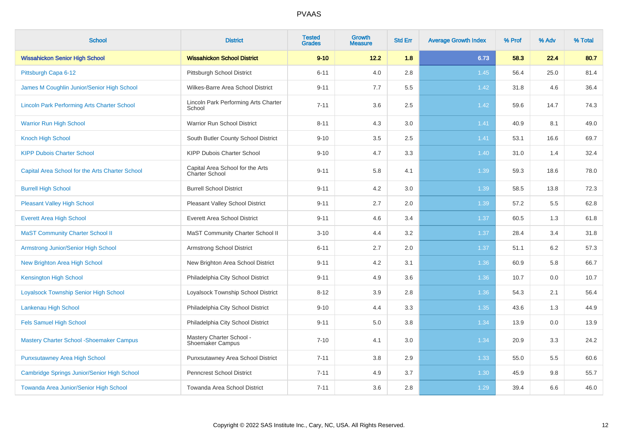| <b>School</b>                                      | <b>District</b>                                     | <b>Tested</b><br><b>Grades</b> | <b>Growth</b><br><b>Measure</b> | <b>Std Err</b> | <b>Average Growth Index</b> | % Prof | % Adv | % Total |
|----------------------------------------------------|-----------------------------------------------------|--------------------------------|---------------------------------|----------------|-----------------------------|--------|-------|---------|
| <b>Wissahickon Senior High School</b>              | <b>Wissahickon School District</b>                  | $9 - 10$                       | 12.2                            | 1.8            | 6.73                        | 58.3   | 22.4  | 80.7    |
| Pittsburgh Capa 6-12                               | Pittsburgh School District                          | $6 - 11$                       | 4.0                             | 2.8            | 1.45                        | 56.4   | 25.0  | 81.4    |
| James M Coughlin Junior/Senior High School         | Wilkes-Barre Area School District                   | $9 - 11$                       | 7.7                             | 5.5            | 1.42                        | 31.8   | 4.6   | 36.4    |
| <b>Lincoln Park Performing Arts Charter School</b> | Lincoln Park Performing Arts Charter<br>School      | $7 - 11$                       | 3.6                             | 2.5            | 1.42                        | 59.6   | 14.7  | 74.3    |
| <b>Warrior Run High School</b>                     | Warrior Run School District                         | $8 - 11$                       | 4.3                             | 3.0            | 1.41                        | 40.9   | 8.1   | 49.0    |
| <b>Knoch High School</b>                           | South Butler County School District                 | $9 - 10$                       | 3.5                             | 2.5            | 1.41                        | 53.1   | 16.6  | 69.7    |
| <b>KIPP Dubois Charter School</b>                  | KIPP Dubois Charter School                          | $9 - 10$                       | 4.7                             | 3.3            | 1.40                        | 31.0   | 1.4   | 32.4    |
| Capital Area School for the Arts Charter School    | Capital Area School for the Arts<br>Charter School  | $9 - 11$                       | 5.8                             | 4.1            | 1.39                        | 59.3   | 18.6  | 78.0    |
| <b>Burrell High School</b>                         | <b>Burrell School District</b>                      | $9 - 11$                       | 4.2                             | 3.0            | 1.39                        | 58.5   | 13.8  | 72.3    |
| <b>Pleasant Valley High School</b>                 | Pleasant Valley School District                     | $9 - 11$                       | 2.7                             | 2.0            | 1.39                        | 57.2   | 5.5   | 62.8    |
| <b>Everett Area High School</b>                    | <b>Everett Area School District</b>                 | $9 - 11$                       | 4.6                             | 3.4            | 1.37                        | 60.5   | 1.3   | 61.8    |
| <b>MaST Community Charter School II</b>            | MaST Community Charter School II                    | $3 - 10$                       | 4.4                             | 3.2            | 1.37                        | 28.4   | 3.4   | 31.8    |
| Armstrong Junior/Senior High School                | <b>Armstrong School District</b>                    | $6 - 11$                       | 2.7                             | 2.0            | 1.37                        | 51.1   | 6.2   | 57.3    |
| New Brighton Area High School                      | New Brighton Area School District                   | $9 - 11$                       | 4.2                             | 3.1            | 1.36                        | 60.9   | 5.8   | 66.7    |
| <b>Kensington High School</b>                      | Philadelphia City School District                   | $9 - 11$                       | 4.9                             | 3.6            | 1.36                        | 10.7   | 0.0   | 10.7    |
| <b>Loyalsock Township Senior High School</b>       | Loyalsock Township School District                  | $8 - 12$                       | 3.9                             | 2.8            | 1.36                        | 54.3   | 2.1   | 56.4    |
| Lankenau High School                               | Philadelphia City School District                   | $9 - 10$                       | 4.4                             | 3.3            | 1.35                        | 43.6   | 1.3   | 44.9    |
| <b>Fels Samuel High School</b>                     | Philadelphia City School District                   | $9 - 11$                       | 5.0                             | 3.8            | 1.34                        | 13.9   | 0.0   | 13.9    |
| <b>Mastery Charter School - Shoemaker Campus</b>   | Mastery Charter School -<br><b>Shoemaker Campus</b> | $7 - 10$                       | 4.1                             | 3.0            | 1.34                        | 20.9   | 3.3   | 24.2    |
| <b>Punxsutawney Area High School</b>               | Punxsutawney Area School District                   | $7 - 11$                       | 3.8                             | 2.9            | 1.33                        | 55.0   | 5.5   | 60.6    |
| Cambridge Springs Junior/Senior High School        | Penncrest School District                           | $7 - 11$                       | 4.9                             | 3.7            | 1.30                        | 45.9   | 9.8   | 55.7    |
| Towanda Area Junior/Senior High School             | Towanda Area School District                        | $7 - 11$                       | 3.6                             | 2.8            | 1.29                        | 39.4   | 6.6   | 46.0    |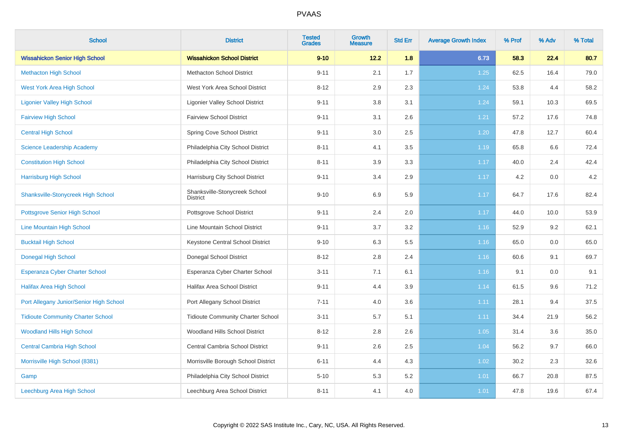| <b>School</b>                             | <b>District</b>                                  | <b>Tested</b><br><b>Grades</b> | <b>Growth</b><br><b>Measure</b> | <b>Std Err</b> | <b>Average Growth Index</b> | % Prof | % Adv | % Total |
|-------------------------------------------|--------------------------------------------------|--------------------------------|---------------------------------|----------------|-----------------------------|--------|-------|---------|
| <b>Wissahickon Senior High School</b>     | <b>Wissahickon School District</b>               | $9 - 10$                       | 12.2                            | 1.8            | 6.73                        | 58.3   | 22.4  | 80.7    |
| <b>Methacton High School</b>              | <b>Methacton School District</b>                 | $9 - 11$                       | 2.1                             | 1.7            | 1.25                        | 62.5   | 16.4  | 79.0    |
| <b>West York Area High School</b>         | West York Area School District                   | $8 - 12$                       | 2.9                             | 2.3            | 1.24                        | 53.8   | 4.4   | 58.2    |
| <b>Ligonier Valley High School</b>        | <b>Ligonier Valley School District</b>           | $9 - 11$                       | 3.8                             | 3.1            | 1.24                        | 59.1   | 10.3  | 69.5    |
| <b>Fairview High School</b>               | <b>Fairview School District</b>                  | $9 - 11$                       | 3.1                             | 2.6            | 1.21                        | 57.2   | 17.6  | 74.8    |
| <b>Central High School</b>                | Spring Cove School District                      | $9 - 11$                       | 3.0                             | 2.5            | 1.20                        | 47.8   | 12.7  | 60.4    |
| <b>Science Leadership Academy</b>         | Philadelphia City School District                | $8 - 11$                       | 4.1                             | 3.5            | 1.19                        | 65.8   | 6.6   | 72.4    |
| <b>Constitution High School</b>           | Philadelphia City School District                | $8 - 11$                       | 3.9                             | 3.3            | 1.17                        | 40.0   | 2.4   | 42.4    |
| <b>Harrisburg High School</b>             | Harrisburg City School District                  | $9 - 11$                       | 3.4                             | 2.9            | 1.17                        | 4.2    | 0.0   | 4.2     |
| <b>Shanksville-Stonycreek High School</b> | Shanksville-Stonycreek School<br><b>District</b> | $9 - 10$                       | 6.9                             | 5.9            | 1.17                        | 64.7   | 17.6  | 82.4    |
| <b>Pottsgrove Senior High School</b>      | Pottsgrove School District                       | $9 - 11$                       | 2.4                             | 2.0            | 1.17                        | 44.0   | 10.0  | 53.9    |
| Line Mountain High School                 | Line Mountain School District                    | $9 - 11$                       | 3.7                             | $3.2\,$        | 1.16                        | 52.9   | 9.2   | 62.1    |
| <b>Bucktail High School</b>               | Keystone Central School District                 | $9 - 10$                       | 6.3                             | 5.5            | 1.16                        | 65.0   | 0.0   | 65.0    |
| <b>Donegal High School</b>                | Donegal School District                          | $8 - 12$                       | 2.8                             | 2.4            | 1.16                        | 60.6   | 9.1   | 69.7    |
| <b>Esperanza Cyber Charter School</b>     | Esperanza Cyber Charter School                   | $3 - 11$                       | 7.1                             | 6.1            | 1.16                        | 9.1    | 0.0   | 9.1     |
| <b>Halifax Area High School</b>           | <b>Halifax Area School District</b>              | $9 - 11$                       | 4.4                             | 3.9            | 1.14                        | 61.5   | 9.6   | 71.2    |
| Port Allegany Junior/Senior High School   | Port Allegany School District                    | $7 - 11$                       | 4.0                             | 3.6            | 1.11                        | 28.1   | 9.4   | 37.5    |
| <b>Tidioute Community Charter School</b>  | <b>Tidioute Community Charter School</b>         | $3 - 11$                       | 5.7                             | 5.1            | 1.11                        | 34.4   | 21.9  | 56.2    |
| <b>Woodland Hills High School</b>         | Woodland Hills School District                   | $8 - 12$                       | 2.8                             | 2.6            | 1.05                        | 31.4   | 3.6   | 35.0    |
| <b>Central Cambria High School</b>        | Central Cambria School District                  | $9 - 11$                       | 2.6                             | 2.5            | 1.04                        | 56.2   | 9.7   | 66.0    |
| Morrisville High School (8381)            | Morrisville Borough School District              | $6 - 11$                       | 4.4                             | 4.3            | 1.02                        | 30.2   | 2.3   | 32.6    |
| Gamp                                      | Philadelphia City School District                | $5 - 10$                       | 5.3                             | 5.2            | 1.01                        | 66.7   | 20.8  | 87.5    |
| Leechburg Area High School                | Leechburg Area School District                   | $8 - 11$                       | 4.1                             | 4.0            | 1.01                        | 47.8   | 19.6  | 67.4    |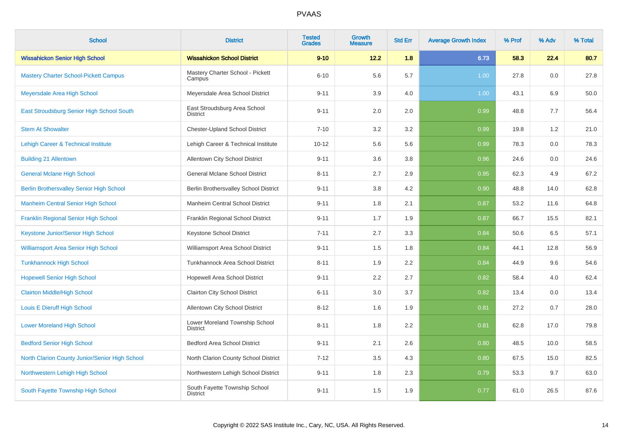| <b>School</b>                                   | <b>District</b>                                   | <b>Tested</b><br><b>Grades</b> | Growth<br><b>Measure</b> | <b>Std Err</b> | <b>Average Growth Index</b> | % Prof | % Adv | % Total |
|-------------------------------------------------|---------------------------------------------------|--------------------------------|--------------------------|----------------|-----------------------------|--------|-------|---------|
| <b>Wissahickon Senior High School</b>           | <b>Wissahickon School District</b>                | $9 - 10$                       | 12.2                     | 1.8            | 6.73                        | 58.3   | 22.4  | 80.7    |
| <b>Mastery Charter School-Pickett Campus</b>    | Mastery Charter School - Pickett<br>Campus        | $6 - 10$                       | 5.6                      | 5.7            | 1.00                        | 27.8   | 0.0   | 27.8    |
| Meyersdale Area High School                     | Meyersdale Area School District                   | $9 - 11$                       | 3.9                      | 4.0            | 1.00                        | 43.1   | 6.9   | 50.0    |
| East Stroudsburg Senior High School South       | East Stroudsburg Area School<br><b>District</b>   | $9 - 11$                       | 2.0                      | 2.0            | 0.99                        | 48.8   | 7.7   | 56.4    |
| <b>Stem At Showalter</b>                        | <b>Chester-Upland School District</b>             | $7 - 10$                       | 3.2                      | 3.2            | 0.99                        | 19.8   | 1.2   | 21.0    |
| <b>Lehigh Career &amp; Technical Institute</b>  | Lehigh Career & Technical Institute               | $10 - 12$                      | 5.6                      | 5.6            | 0.99                        | 78.3   | 0.0   | 78.3    |
| <b>Building 21 Allentown</b>                    | Allentown City School District                    | $9 - 11$                       | 3.6                      | 3.8            | 0.96                        | 24.6   | 0.0   | 24.6    |
| <b>General Mclane High School</b>               | <b>General Mclane School District</b>             | $8 - 11$                       | 2.7                      | 2.9            | 0.95                        | 62.3   | 4.9   | 67.2    |
| <b>Berlin Brothersvalley Senior High School</b> | Berlin Brothersvalley School District             | $9 - 11$                       | 3.8                      | 4.2            | 0.90                        | 48.8   | 14.0  | 62.8    |
| <b>Manheim Central Senior High School</b>       | Manheim Central School District                   | $9 - 11$                       | 1.8                      | 2.1            | 0.87                        | 53.2   | 11.6  | 64.8    |
| <b>Franklin Regional Senior High School</b>     | Franklin Regional School District                 | $9 - 11$                       | 1.7                      | 1.9            | 0.87                        | 66.7   | 15.5  | 82.1    |
| Keystone Junior/Senior High School              | Keystone School District                          | $7 - 11$                       | 2.7                      | 3.3            | 0.84                        | 50.6   | 6.5   | 57.1    |
| <b>Williamsport Area Senior High School</b>     | Williamsport Area School District                 | $9 - 11$                       | 1.5                      | 1.8            | 0.84                        | 44.1   | 12.8  | 56.9    |
| <b>Tunkhannock High School</b>                  | Tunkhannock Area School District                  | $8 - 11$                       | 1.9                      | 2.2            | 0.84                        | 44.9   | 9.6   | 54.6    |
| <b>Hopewell Senior High School</b>              | Hopewell Area School District                     | $9 - 11$                       | 2.2                      | 2.7            | 0.82                        | 58.4   | 4.0   | 62.4    |
| <b>Clairton Middle/High School</b>              | Clairton City School District                     | $6 - 11$                       | 3.0                      | 3.7            | 0.82                        | 13.4   | 0.0   | 13.4    |
| Louis E Dieruff High School                     | Allentown City School District                    | $8 - 12$                       | 1.6                      | 1.9            | 0.81                        | 27.2   | 0.7   | 28.0    |
| <b>Lower Moreland High School</b>               | Lower Moreland Township School<br><b>District</b> | $8 - 11$                       | 1.8                      | 2.2            | 0.81                        | 62.8   | 17.0  | 79.8    |
| <b>Bedford Senior High School</b>               | <b>Bedford Area School District</b>               | $9 - 11$                       | 2.1                      | 2.6            | 0.80                        | 48.5   | 10.0  | 58.5    |
| North Clarion County Junior/Senior High School  | North Clarion County School District              | $7 - 12$                       | $3.5\,$                  | 4.3            | 0.80                        | 67.5   | 15.0  | 82.5    |
| Northwestern Lehigh High School                 | Northwestern Lehigh School District               | $9 - 11$                       | 1.8                      | 2.3            | 0.79                        | 53.3   | 9.7   | 63.0    |
| South Fayette Township High School              | South Fayette Township School<br><b>District</b>  | $9 - 11$                       | 1.5                      | 1.9            | 0.77                        | 61.0   | 26.5  | 87.6    |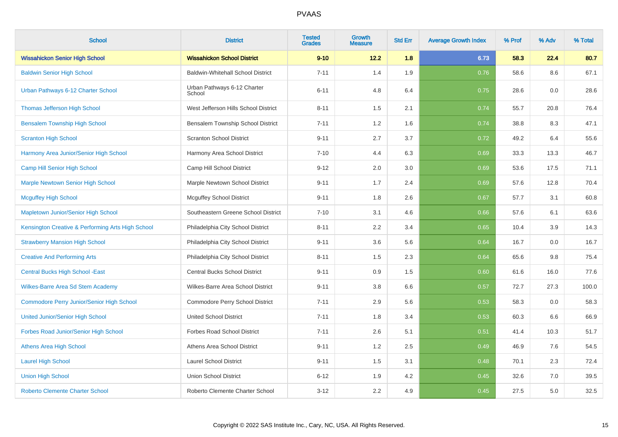| <b>School</b>                                     | <b>District</b>                          | <b>Tested</b><br><b>Grades</b> | <b>Growth</b><br><b>Measure</b> | <b>Std Err</b> | <b>Average Growth Index</b> | % Prof | % Adv | % Total |
|---------------------------------------------------|------------------------------------------|--------------------------------|---------------------------------|----------------|-----------------------------|--------|-------|---------|
| <b>Wissahickon Senior High School</b>             | <b>Wissahickon School District</b>       | $9 - 10$                       | 12.2                            | 1.8            | 6.73                        | 58.3   | 22.4  | 80.7    |
| <b>Baldwin Senior High School</b>                 | <b>Baldwin-Whitehall School District</b> | $7 - 11$                       | 1.4                             | 1.9            | 0.76                        | 58.6   | 8.6   | 67.1    |
| Urban Pathways 6-12 Charter School                | Urban Pathways 6-12 Charter<br>School    | $6 - 11$                       | 4.8                             | 6.4            | 0.75                        | 28.6   | 0.0   | 28.6    |
| <b>Thomas Jefferson High School</b>               | West Jefferson Hills School District     | $8 - 11$                       | 1.5                             | 2.1            | 0.74                        | 55.7   | 20.8  | 76.4    |
| <b>Bensalem Township High School</b>              | Bensalem Township School District        | $7 - 11$                       | 1.2                             | 1.6            | 0.74                        | 38.8   | 8.3   | 47.1    |
| <b>Scranton High School</b>                       | <b>Scranton School District</b>          | $9 - 11$                       | 2.7                             | 3.7            | 0.72                        | 49.2   | 6.4   | 55.6    |
| Harmony Area Junior/Senior High School            | Harmony Area School District             | $7 - 10$                       | 4.4                             | 6.3            | 0.69                        | 33.3   | 13.3  | 46.7    |
| Camp Hill Senior High School                      | Camp Hill School District                | $9 - 12$                       | 2.0                             | 3.0            | 0.69                        | 53.6   | 17.5  | 71.1    |
| <b>Marple Newtown Senior High School</b>          | Marple Newtown School District           | $9 - 11$                       | 1.7                             | 2.4            | 0.69                        | 57.6   | 12.8  | 70.4    |
| <b>Mcguffey High School</b>                       | <b>Mcguffey School District</b>          | $9 - 11$                       | 1.8                             | 2.6            | 0.67                        | 57.7   | 3.1   | 60.8    |
| Mapletown Junior/Senior High School               | Southeastern Greene School District      | $7 - 10$                       | 3.1                             | 4.6            | 0.66                        | 57.6   | 6.1   | 63.6    |
| Kensington Creative & Performing Arts High School | Philadelphia City School District        | $8 - 11$                       | 2.2                             | 3.4            | 0.65                        | 10.4   | 3.9   | 14.3    |
| <b>Strawberry Mansion High School</b>             | Philadelphia City School District        | $9 - 11$                       | 3.6                             | 5.6            | 0.64                        | 16.7   | 0.0   | 16.7    |
| <b>Creative And Performing Arts</b>               | Philadelphia City School District        | $8 - 11$                       | 1.5                             | 2.3            | 0.64                        | 65.6   | 9.8   | 75.4    |
| <b>Central Bucks High School - East</b>           | Central Bucks School District            | $9 - 11$                       | 0.9                             | 1.5            | 0.60                        | 61.6   | 16.0  | 77.6    |
| Wilkes-Barre Area Sd Stem Academy                 | Wilkes-Barre Area School District        | $9 - 11$                       | 3.8                             | 6.6            | 0.57                        | 72.7   | 27.3  | 100.0   |
| <b>Commodore Perry Junior/Senior High School</b>  | Commodore Perry School District          | $7 - 11$                       | 2.9                             | 5.6            | 0.53                        | 58.3   | 0.0   | 58.3    |
| <b>United Junior/Senior High School</b>           | <b>United School District</b>            | $7 - 11$                       | 1.8                             | 3.4            | 0.53                        | 60.3   | 6.6   | 66.9    |
| Forbes Road Junior/Senior High School             | <b>Forbes Road School District</b>       | $7 - 11$                       | 2.6                             | 5.1            | 0.51                        | 41.4   | 10.3  | 51.7    |
| <b>Athens Area High School</b>                    | Athens Area School District              | $9 - 11$                       | 1.2                             | 2.5            | 0.49                        | 46.9   | 7.6   | 54.5    |
| <b>Laurel High School</b>                         | <b>Laurel School District</b>            | $9 - 11$                       | 1.5                             | 3.1            | 0.48                        | 70.1   | 2.3   | 72.4    |
| <b>Union High School</b>                          | <b>Union School District</b>             | $6 - 12$                       | 1.9                             | 4.2            | 0.45                        | 32.6   | 7.0   | 39.5    |
| <b>Roberto Clemente Charter School</b>            | Roberto Clemente Charter School          | $3 - 12$                       | 2.2                             | 4.9            | 0.45                        | 27.5   | 5.0   | 32.5    |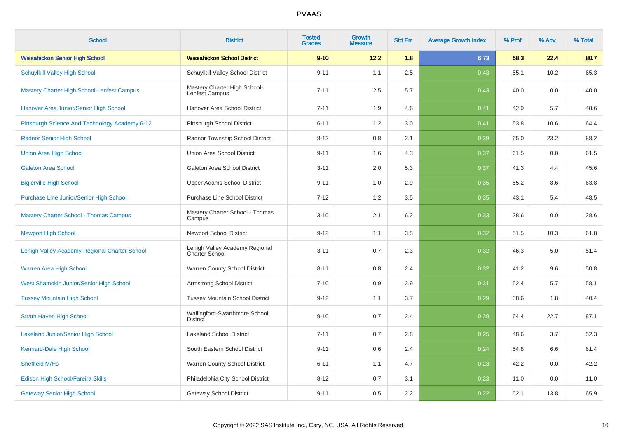| <b>School</b>                                     | <b>District</b>                                         | <b>Tested</b><br><b>Grades</b> | <b>Growth</b><br><b>Measure</b> | <b>Std Err</b> | <b>Average Growth Index</b> | % Prof | % Adv | % Total |
|---------------------------------------------------|---------------------------------------------------------|--------------------------------|---------------------------------|----------------|-----------------------------|--------|-------|---------|
| <b>Wissahickon Senior High School</b>             | <b>Wissahickon School District</b>                      | $9 - 10$                       | 12.2                            | 1.8            | 6.73                        | 58.3   | 22.4  | 80.7    |
| <b>Schuylkill Valley High School</b>              | Schuylkill Valley School District                       | $9 - 11$                       | 1.1                             | 2.5            | 0.43                        | 55.1   | 10.2  | 65.3    |
| <b>Mastery Charter High School-Lenfest Campus</b> | Mastery Charter High School-<br>Lenfest Campus          | $7 - 11$                       | 2.5                             | 5.7            | 0.43                        | 40.0   | 0.0   | 40.0    |
| Hanover Area Junior/Senior High School            | Hanover Area School District                            | $7 - 11$                       | 1.9                             | 4.6            | 0.41                        | 42.9   | 5.7   | 48.6    |
| Pittsburgh Science And Technology Academy 6-12    | Pittsburgh School District                              | $6 - 11$                       | 1.2                             | 3.0            | 0.41                        | 53.8   | 10.6  | 64.4    |
| <b>Radnor Senior High School</b>                  | Radnor Township School District                         | $8 - 12$                       | 0.8                             | 2.1            | 0.39                        | 65.0   | 23.2  | 88.2    |
| <b>Union Area High School</b>                     | Union Area School District                              | $9 - 11$                       | 1.6                             | 4.3            | 0.37                        | 61.5   | 0.0   | 61.5    |
| <b>Galeton Area School</b>                        | Galeton Area School District                            | $3 - 11$                       | 2.0                             | 5.3            | 0.37                        | 41.3   | 4.4   | 45.6    |
| <b>Biglerville High School</b>                    | <b>Upper Adams School District</b>                      | $9 - 11$                       | 1.0                             | 2.9            | 0.35                        | 55.2   | 8.6   | 63.8    |
| Purchase Line Junior/Senior High School           | <b>Purchase Line School District</b>                    | $7 - 12$                       | 1.2                             | 3.5            | 0.35                        | 43.1   | 5.4   | 48.5    |
| <b>Mastery Charter School - Thomas Campus</b>     | Mastery Charter School - Thomas<br>Campus               | $3 - 10$                       | 2.1                             | 6.2            | 0.33                        | 28.6   | 0.0   | 28.6    |
| <b>Newport High School</b>                        | <b>Newport School District</b>                          | $9 - 12$                       | 1.1                             | 3.5            | 0.32                        | 51.5   | 10.3  | 61.8    |
| Lehigh Valley Academy Regional Charter School     | Lehigh Valley Academy Regional<br><b>Charter School</b> | $3 - 11$                       | 0.7                             | 2.3            | 0.32                        | 46.3   | 5.0   | 51.4    |
| Warren Area High School                           | Warren County School District                           | $8 - 11$                       | 0.8                             | 2.4            | 0.32                        | 41.2   | 9.6   | 50.8    |
| West Shamokin Junior/Senior High School           | <b>Armstrong School District</b>                        | $7 - 10$                       | 0.9                             | 2.9            | 0.31                        | 52.4   | 5.7   | 58.1    |
| <b>Tussey Mountain High School</b>                | <b>Tussey Mountain School District</b>                  | $9 - 12$                       | 1.1                             | 3.7            | 0.29                        | 38.6   | 1.8   | 40.4    |
| <b>Strath Haven High School</b>                   | Wallingford-Swarthmore School<br><b>District</b>        | $9 - 10$                       | 0.7                             | 2.4            | 0.28                        | 64.4   | 22.7  | 87.1    |
| <b>Lakeland Junior/Senior High School</b>         | <b>Lakeland School District</b>                         | $7 - 11$                       | 0.7                             | 2.8            | 0.25                        | 48.6   | 3.7   | 52.3    |
| Kennard-Dale High School                          | South Eastern School District                           | $9 - 11$                       | 0.6                             | 2.4            | 0.24                        | 54.8   | 6.6   | 61.4    |
| Sheffield M/Hs                                    | Warren County School District                           | $6 - 11$                       | 1.1                             | 4.7            | 0.23                        | 42.2   | 0.0   | 42.2    |
| Edison High School/Fareira Skills                 | Philadelphia City School District                       | $8 - 12$                       | 0.7                             | 3.1            | 0.23                        | 11.0   | 0.0   | 11.0    |
| <b>Gateway Senior High School</b>                 | <b>Gateway School District</b>                          | $9 - 11$                       | 0.5                             | 2.2            | 0.22                        | 52.1   | 13.8  | 65.9    |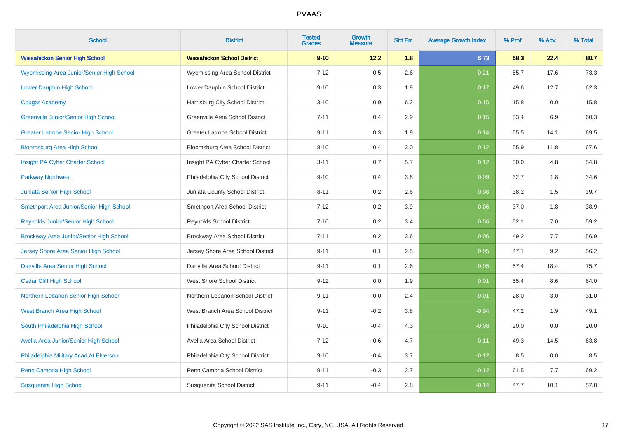| <b>School</b>                                    | <b>District</b>                        | <b>Tested</b><br><b>Grades</b> | <b>Growth</b><br><b>Measure</b> | <b>Std Err</b> | <b>Average Growth Index</b> | % Prof | % Adv | % Total |
|--------------------------------------------------|----------------------------------------|--------------------------------|---------------------------------|----------------|-----------------------------|--------|-------|---------|
| <b>Wissahickon Senior High School</b>            | <b>Wissahickon School District</b>     | $9 - 10$                       | 12.2                            | 1.8            | 6.73                        | 58.3   | 22.4  | 80.7    |
| <b>Wyomissing Area Junior/Senior High School</b> | Wyomissing Area School District        | $7 - 12$                       | 0.5                             | 2.6            | 0.21                        | 55.7   | 17.6  | 73.3    |
| Lower Dauphin High School                        | Lower Dauphin School District          | $9 - 10$                       | 0.3                             | 1.9            | 0.17                        | 49.6   | 12.7  | 62.3    |
| <b>Cougar Academy</b>                            | Harrisburg City School District        | $3 - 10$                       | 0.9                             | 6.2            | 0.15                        | 15.8   | 0.0   | 15.8    |
| <b>Greenville Junior/Senior High School</b>      | Greenville Area School District        | $7 - 11$                       | 0.4                             | 2.9            | 0.15                        | 53.4   | 6.9   | 60.3    |
| <b>Greater Latrobe Senior High School</b>        | <b>Greater Latrobe School District</b> | $9 - 11$                       | 0.3                             | 1.9            | 0.14                        | 55.5   | 14.1  | 69.5    |
| <b>Bloomsburg Area High School</b>               | Bloomsburg Area School District        | $8 - 10$                       | 0.4                             | 3.0            | 0.12                        | 55.9   | 11.8  | 67.6    |
| Insight PA Cyber Charter School                  | Insight PA Cyber Charter School        | $3 - 11$                       | 0.7                             | 5.7            | 0.12                        | 50.0   | 4.8   | 54.8    |
| <b>Parkway Northwest</b>                         | Philadelphia City School District      | $9 - 10$                       | 0.4                             | 3.8            | 0.09                        | 32.7   | 1.8   | 34.6    |
| Juniata Senior High School                       | Juniata County School District         | $8 - 11$                       | 0.2                             | 2.6            | 0.08                        | 38.2   | 1.5   | 39.7    |
| Smethport Area Junior/Senior High School         | Smethport Area School District         | $7 - 12$                       | 0.2                             | 3.9            | 0.06                        | 37.0   | 1.8   | 38.9    |
| <b>Reynolds Junior/Senior High School</b>        | <b>Reynolds School District</b>        | $7 - 10$                       | 0.2                             | 3.4            | 0.06                        | 52.1   | 7.0   | 59.2    |
| Brockway Area Junior/Senior High School          | Brockway Area School District          | $7 - 11$                       | 0.2                             | 3.6            | 0.06                        | 49.2   | 7.7   | 56.9    |
| Jersey Shore Area Senior High School             | Jersey Shore Area School District      | $9 - 11$                       | 0.1                             | 2.5            | 0.05                        | 47.1   | 9.2   | 56.2    |
| Danville Area Senior High School                 | Danville Area School District          | $9 - 11$                       | 0.1                             | 2.6            | 0.05                        | 57.4   | 18.4  | 75.7    |
| <b>Cedar Cliff High School</b>                   | <b>West Shore School District</b>      | $9 - 12$                       | 0.0                             | 1.9            | 0.01                        | 55.4   | 8.6   | 64.0    |
| Northern Lebanon Senior High School              | Northern Lebanon School District       | $9 - 11$                       | $-0.0$                          | 2.4            | $-0.01$                     | 28.0   | 3.0   | 31.0    |
| West Branch Area High School                     | West Branch Area School District       | $9 - 11$                       | $-0.2$                          | 3.8            | $-0.04$                     | 47.2   | 1.9   | 49.1    |
| South Philadelphia High School                   | Philadelphia City School District      | $9 - 10$                       | $-0.4$                          | 4.3            | $-0.08$                     | 20.0   | 0.0   | 20.0    |
| Avella Area Junior/Senior High School            | Avella Area School District            | $7 - 12$                       | $-0.6$                          | 4.7            | $-0.11$                     | 49.3   | 14.5  | 63.8    |
| Philadelphia Military Acad At Elverson           | Philadelphia City School District      | $9 - 10$                       | $-0.4$                          | 3.7            | $-0.12$                     | 8.5    | 0.0   | 8.5     |
| Penn Cambria High School                         | Penn Cambria School District           | $9 - 11$                       | $-0.3$                          | 2.7            | $-0.12$                     | 61.5   | 7.7   | 69.2    |
| <b>Susquenita High School</b>                    | Susquenita School District             | $9 - 11$                       | $-0.4$                          | 2.8            | $-0.14$                     | 47.7   | 10.1  | 57.8    |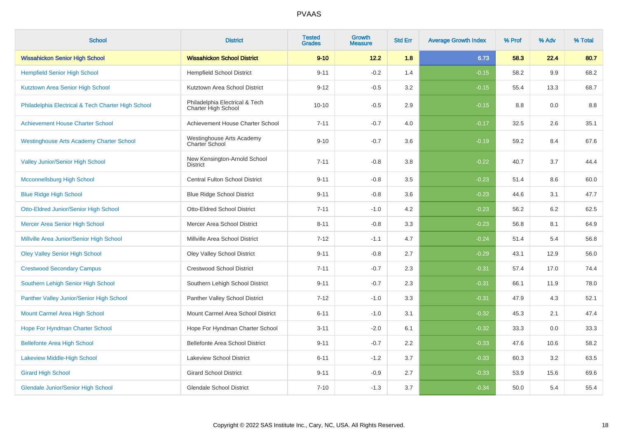| <b>School</b>                                      | <b>District</b>                                       | <b>Tested</b><br><b>Grades</b> | Growth<br><b>Measure</b> | <b>Std Err</b> | <b>Average Growth Index</b> | % Prof | % Adv | % Total |
|----------------------------------------------------|-------------------------------------------------------|--------------------------------|--------------------------|----------------|-----------------------------|--------|-------|---------|
| <b>Wissahickon Senior High School</b>              | <b>Wissahickon School District</b>                    | $9 - 10$                       | 12.2                     | 1.8            | 6.73                        | 58.3   | 22.4  | 80.7    |
| <b>Hempfield Senior High School</b>                | <b>Hempfield School District</b>                      | $9 - 11$                       | $-0.2$                   | 1.4            | $-0.15$                     | 58.2   | 9.9   | 68.2    |
| Kutztown Area Senior High School                   | Kutztown Area School District                         | $9 - 12$                       | $-0.5$                   | 3.2            | $-0.15$                     | 55.4   | 13.3  | 68.7    |
| Philadelphia Electrical & Tech Charter High School | Philadelphia Electrical & Tech<br>Charter High School | $10 - 10$                      | $-0.5$                   | 2.9            | $-0.15$                     | 8.8    | 0.0   | 8.8     |
| <b>Achievement House Charter School</b>            | Achievement House Charter School                      | $7 - 11$                       | $-0.7$                   | 4.0            | $-0.17$                     | 32.5   | 2.6   | 35.1    |
| <b>Westinghouse Arts Academy Charter School</b>    | Westinghouse Arts Academy<br>Charter School           | $9 - 10$                       | $-0.7$                   | 3.6            | $-0.19$                     | 59.2   | 8.4   | 67.6    |
| <b>Valley Junior/Senior High School</b>            | New Kensington-Arnold School<br><b>District</b>       | $7 - 11$                       | $-0.8$                   | 3.8            | $-0.22$                     | 40.7   | 3.7   | 44.4    |
| Mcconnellsburg High School                         | Central Fulton School District                        | $9 - 11$                       | $-0.8$                   | 3.5            | $-0.23$                     | 51.4   | 8.6   | 60.0    |
| <b>Blue Ridge High School</b>                      | <b>Blue Ridge School District</b>                     | $9 - 11$                       | $-0.8$                   | 3.6            | $-0.23$                     | 44.6   | 3.1   | 47.7    |
| <b>Otto-Eldred Junior/Senior High School</b>       | <b>Otto-Eldred School District</b>                    | $7 - 11$                       | $-1.0$                   | 4.2            | $-0.23$                     | 56.2   | 6.2   | 62.5    |
| Mercer Area Senior High School                     | Mercer Area School District                           | $8 - 11$                       | $-0.8$                   | 3.3            | $-0.23$                     | 56.8   | 8.1   | 64.9    |
| Millville Area Junior/Senior High School           | Millville Area School District                        | $7 - 12$                       | $-1.1$                   | 4.7            | $-0.24$                     | 51.4   | 5.4   | 56.8    |
| <b>Oley Valley Senior High School</b>              | Oley Valley School District                           | $9 - 11$                       | $-0.8$                   | 2.7            | $-0.29$                     | 43.1   | 12.9  | 56.0    |
| <b>Crestwood Secondary Campus</b>                  | <b>Crestwood School District</b>                      | $7 - 11$                       | $-0.7$                   | 2.3            | $-0.31$                     | 57.4   | 17.0  | 74.4    |
| Southern Lehigh Senior High School                 | Southern Lehigh School District                       | $9 - 11$                       | $-0.7$                   | 2.3            | $-0.31$                     | 66.1   | 11.9  | 78.0    |
| Panther Valley Junior/Senior High School           | Panther Valley School District                        | $7 - 12$                       | $-1.0$                   | 3.3            | $-0.31$                     | 47.9   | 4.3   | 52.1    |
| Mount Carmel Area High School                      | Mount Carmel Area School District                     | $6 - 11$                       | $-1.0$                   | 3.1            | $-0.32$                     | 45.3   | 2.1   | 47.4    |
| Hope For Hyndman Charter School                    | Hope For Hyndman Charter School                       | $3 - 11$                       | $-2.0$                   | 6.1            | $-0.32$                     | 33.3   | 0.0   | 33.3    |
| <b>Bellefonte Area High School</b>                 | Bellefonte Area School District                       | $9 - 11$                       | $-0.7$                   | 2.2            | $-0.33$                     | 47.6   | 10.6  | 58.2    |
| <b>Lakeview Middle-High School</b>                 | <b>Lakeview School District</b>                       | $6 - 11$                       | $-1.2$                   | 3.7            | $-0.33$                     | 60.3   | 3.2   | 63.5    |
| <b>Girard High School</b>                          | <b>Girard School District</b>                         | $9 - 11$                       | $-0.9$                   | 2.7            | $-0.33$                     | 53.9   | 15.6  | 69.6    |
| <b>Glendale Junior/Senior High School</b>          | <b>Glendale School District</b>                       | $7 - 10$                       | $-1.3$                   | 3.7            | $-0.34$                     | 50.0   | 5.4   | 55.4    |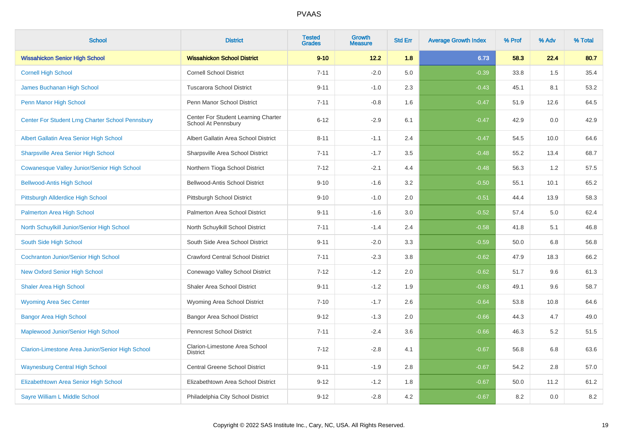| <b>School</b>                                      | <b>District</b>                                            | <b>Tested</b><br><b>Grades</b> | <b>Growth</b><br><b>Measure</b> | <b>Std Err</b> | <b>Average Growth Index</b> | % Prof | % Adv | % Total |
|----------------------------------------------------|------------------------------------------------------------|--------------------------------|---------------------------------|----------------|-----------------------------|--------|-------|---------|
| <b>Wissahickon Senior High School</b>              | <b>Wissahickon School District</b>                         | $9 - 10$                       | 12.2                            | 1.8            | 6.73                        | 58.3   | 22.4  | 80.7    |
| <b>Cornell High School</b>                         | <b>Cornell School District</b>                             | $7 - 11$                       | $-2.0$                          | 5.0            | $-0.39$                     | 33.8   | 1.5   | 35.4    |
| James Buchanan High School                         | <b>Tuscarora School District</b>                           | $9 - 11$                       | $-1.0$                          | 2.3            | $-0.43$                     | 45.1   | 8.1   | 53.2    |
| Penn Manor High School                             | Penn Manor School District                                 | $7 - 11$                       | $-0.8$                          | 1.6            | $-0.47$                     | 51.9   | 12.6  | 64.5    |
| Center For Student Lrng Charter School Pennsbury   | Center For Student Learning Charter<br>School At Pennsbury | $6 - 12$                       | $-2.9$                          | 6.1            | $-0.47$                     | 42.9   | 0.0   | 42.9    |
| Albert Gallatin Area Senior High School            | Albert Gallatin Area School District                       | $8 - 11$                       | $-1.1$                          | 2.4            | $-0.47$                     | 54.5   | 10.0  | 64.6    |
| <b>Sharpsville Area Senior High School</b>         | Sharpsville Area School District                           | $7 - 11$                       | $-1.7$                          | 3.5            | $-0.48$                     | 55.2   | 13.4  | 68.7    |
| <b>Cowanesque Valley Junior/Senior High School</b> | Northern Tioga School District                             | $7 - 12$                       | $-2.1$                          | 4.4            | $-0.48$                     | 56.3   | 1.2   | 57.5    |
| <b>Bellwood-Antis High School</b>                  | <b>Bellwood-Antis School District</b>                      | $9 - 10$                       | $-1.6$                          | 3.2            | $-0.50$                     | 55.1   | 10.1  | 65.2    |
| Pittsburgh Allderdice High School                  | Pittsburgh School District                                 | $9 - 10$                       | $-1.0$                          | 2.0            | $-0.51$                     | 44.4   | 13.9  | 58.3    |
| <b>Palmerton Area High School</b>                  | Palmerton Area School District                             | $9 - 11$                       | $-1.6$                          | 3.0            | $-0.52$                     | 57.4   | 5.0   | 62.4    |
| North Schuylkill Junior/Senior High School         | North Schuylkill School District                           | $7 - 11$                       | $-1.4$                          | 2.4            | $-0.58$                     | 41.8   | 5.1   | 46.8    |
| South Side High School                             | South Side Area School District                            | $9 - 11$                       | $-2.0$                          | 3.3            | $-0.59$                     | 50.0   | 6.8   | 56.8    |
| <b>Cochranton Junior/Senior High School</b>        | <b>Crawford Central School District</b>                    | $7 - 11$                       | $-2.3$                          | 3.8            | $-0.62$                     | 47.9   | 18.3  | 66.2    |
| <b>New Oxford Senior High School</b>               | Conewago Valley School District                            | $7 - 12$                       | $-1.2$                          | 2.0            | $-0.62$                     | 51.7   | 9.6   | 61.3    |
| <b>Shaler Area High School</b>                     | <b>Shaler Area School District</b>                         | $9 - 11$                       | $-1.2$                          | 1.9            | $-0.63$                     | 49.1   | 9.6   | 58.7    |
| <b>Wyoming Area Sec Center</b>                     | Wyoming Area School District                               | $7 - 10$                       | $-1.7$                          | 2.6            | $-0.64$                     | 53.8   | 10.8  | 64.6    |
| <b>Bangor Area High School</b>                     | <b>Bangor Area School District</b>                         | $9 - 12$                       | $-1.3$                          | 2.0            | $-0.66$                     | 44.3   | 4.7   | 49.0    |
| Maplewood Junior/Senior High School                | <b>Penncrest School District</b>                           | $7 - 11$                       | $-2.4$                          | 3.6            | $-0.66$                     | 46.3   | 5.2   | 51.5    |
| Clarion-Limestone Area Junior/Senior High School   | Clarion-Limestone Area School<br><b>District</b>           | $7 - 12$                       | $-2.8$                          | 4.1            | $-0.67$                     | 56.8   | 6.8   | 63.6    |
| <b>Waynesburg Central High School</b>              | <b>Central Greene School District</b>                      | $9 - 11$                       | $-1.9$                          | 2.8            | $-0.67$                     | 54.2   | 2.8   | 57.0    |
| Elizabethtown Area Senior High School              | Elizabethtown Area School District                         | $9 - 12$                       | $-1.2$                          | 1.8            | $-0.67$                     | 50.0   | 11.2  | 61.2    |
| Sayre William L Middle School                      | Philadelphia City School District                          | $9 - 12$                       | $-2.8$                          | 4.2            | $-0.67$                     | 8.2    | 0.0   | $8.2\,$ |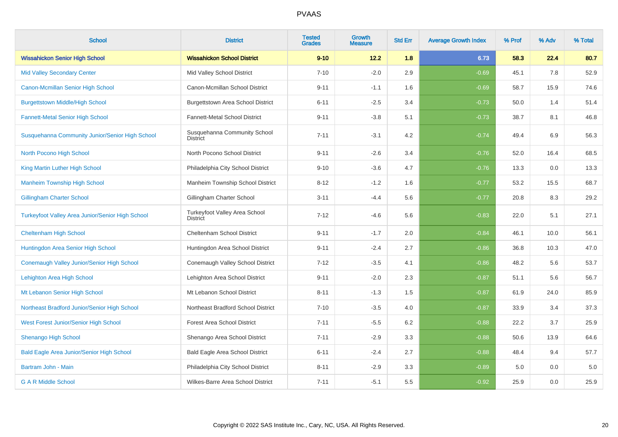| <b>School</b>                                    | <b>District</b>                                  | <b>Tested</b><br><b>Grades</b> | <b>Growth</b><br><b>Measure</b> | <b>Std Err</b> | <b>Average Growth Index</b> | % Prof | % Adv | % Total |
|--------------------------------------------------|--------------------------------------------------|--------------------------------|---------------------------------|----------------|-----------------------------|--------|-------|---------|
| <b>Wissahickon Senior High School</b>            | <b>Wissahickon School District</b>               | $9 - 10$                       | 12.2                            | 1.8            | 6.73                        | 58.3   | 22.4  | 80.7    |
| <b>Mid Valley Secondary Center</b>               | Mid Valley School District                       | $7 - 10$                       | $-2.0$                          | 2.9            | $-0.69$                     | 45.1   | 7.8   | 52.9    |
| Canon-Mcmillan Senior High School                | Canon-Mcmillan School District                   | $9 - 11$                       | $-1.1$                          | 1.6            | $-0.69$                     | 58.7   | 15.9  | 74.6    |
| <b>Burgettstown Middle/High School</b>           | <b>Burgettstown Area School District</b>         | $6 - 11$                       | $-2.5$                          | 3.4            | $-0.73$                     | 50.0   | 1.4   | 51.4    |
| <b>Fannett-Metal Senior High School</b>          | Fannett-Metal School District                    | $9 - 11$                       | $-3.8$                          | 5.1            | $-0.73$                     | 38.7   | 8.1   | 46.8    |
| Susquehanna Community Junior/Senior High School  | Susquehanna Community School<br><b>District</b>  | $7 - 11$                       | $-3.1$                          | 4.2            | $-0.74$                     | 49.4   | 6.9   | 56.3    |
| North Pocono High School                         | North Pocono School District                     | $9 - 11$                       | $-2.6$                          | 3.4            | $-0.76$                     | 52.0   | 16.4  | 68.5    |
| King Martin Luther High School                   | Philadelphia City School District                | $9 - 10$                       | $-3.6$                          | 4.7            | $-0.76$                     | 13.3   | 0.0   | 13.3    |
| <b>Manheim Township High School</b>              | Manheim Township School District                 | $8 - 12$                       | $-1.2$                          | 1.6            | $-0.77$                     | 53.2   | 15.5  | 68.7    |
| <b>Gillingham Charter School</b>                 | Gillingham Charter School                        | $3 - 11$                       | $-4.4$                          | 5.6            | $-0.77$                     | 20.8   | 8.3   | 29.2    |
| Turkeyfoot Valley Area Junior/Senior High School | Turkeyfoot Valley Area School<br><b>District</b> | $7 - 12$                       | $-4.6$                          | 5.6            | $-0.83$                     | 22.0   | 5.1   | 27.1    |
| <b>Cheltenham High School</b>                    | Cheltenham School District                       | $9 - 11$                       | $-1.7$                          | 2.0            | $-0.84$                     | 46.1   | 10.0  | 56.1    |
| Huntingdon Area Senior High School               | Huntingdon Area School District                  | $9 - 11$                       | $-2.4$                          | 2.7            | $-0.86$                     | 36.8   | 10.3  | 47.0    |
| Conemaugh Valley Junior/Senior High School       | Conemaugh Valley School District                 | $7 - 12$                       | $-3.5$                          | 4.1            | $-0.86$                     | 48.2   | 5.6   | 53.7    |
| Lehighton Area High School                       | Lehighton Area School District                   | $9 - 11$                       | $-2.0$                          | 2.3            | $-0.87$                     | 51.1   | 5.6   | 56.7    |
| Mt Lebanon Senior High School                    | Mt Lebanon School District                       | $8 - 11$                       | $-1.3$                          | 1.5            | $-0.87$                     | 61.9   | 24.0  | 85.9    |
| Northeast Bradford Junior/Senior High School     | Northeast Bradford School District               | $7 - 10$                       | $-3.5$                          | 4.0            | $-0.87$                     | 33.9   | 3.4   | 37.3    |
| West Forest Junior/Senior High School            | <b>Forest Area School District</b>               | $7 - 11$                       | $-5.5$                          | 6.2            | $-0.88$                     | 22.2   | 3.7   | 25.9    |
| <b>Shenango High School</b>                      | Shenango Area School District                    | $7 - 11$                       | $-2.9$                          | 3.3            | $-0.88$                     | 50.6   | 13.9  | 64.6    |
| <b>Bald Eagle Area Junior/Senior High School</b> | Bald Eagle Area School District                  | $6 - 11$                       | $-2.4$                          | 2.7            | $-0.88$                     | 48.4   | 9.4   | 57.7    |
| Bartram John - Main                              | Philadelphia City School District                | $8 - 11$                       | $-2.9$                          | 3.3            | $-0.89$                     | 5.0    | 0.0   | 5.0     |
| <b>G A R Middle School</b>                       | Wilkes-Barre Area School District                | $7 - 11$                       | $-5.1$                          | 5.5            | $-0.92$                     | 25.9   | 0.0   | 25.9    |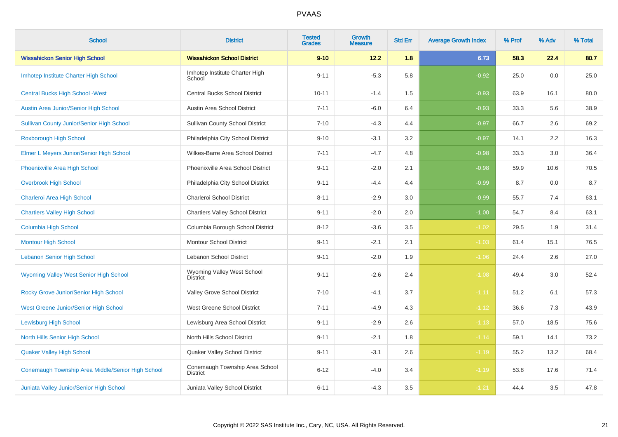| <b>School</b>                                     | <b>District</b>                                   | <b>Tested</b><br><b>Grades</b> | <b>Growth</b><br><b>Measure</b> | <b>Std Err</b> | <b>Average Growth Index</b> | % Prof | % Adv | % Total |
|---------------------------------------------------|---------------------------------------------------|--------------------------------|---------------------------------|----------------|-----------------------------|--------|-------|---------|
| <b>Wissahickon Senior High School</b>             | <b>Wissahickon School District</b>                | $9 - 10$                       | 12.2                            | 1.8            | 6.73                        | 58.3   | 22.4  | 80.7    |
| Imhotep Institute Charter High School             | Imhotep Institute Charter High<br>School          | $9 - 11$                       | $-5.3$                          | 5.8            | $-0.92$                     | 25.0   | 0.0   | 25.0    |
| <b>Central Bucks High School - West</b>           | <b>Central Bucks School District</b>              | $10 - 11$                      | $-1.4$                          | 1.5            | $-0.93$                     | 63.9   | 16.1  | 80.0    |
| Austin Area Junior/Senior High School             | Austin Area School District                       | $7 - 11$                       | $-6.0$                          | 6.4            | $-0.93$                     | 33.3   | 5.6   | 38.9    |
| <b>Sullivan County Junior/Senior High School</b>  | <b>Sullivan County School District</b>            | $7 - 10$                       | $-4.3$                          | 4.4            | $-0.97$                     | 66.7   | 2.6   | 69.2    |
| Roxborough High School                            | Philadelphia City School District                 | $9 - 10$                       | $-3.1$                          | 3.2            | $-0.97$                     | 14.1   | 2.2   | 16.3    |
| Elmer L Meyers Junior/Senior High School          | Wilkes-Barre Area School District                 | $7 - 11$                       | $-4.7$                          | 4.8            | $-0.98$                     | 33.3   | 3.0   | 36.4    |
| <b>Phoenixville Area High School</b>              | Phoenixville Area School District                 | $9 - 11$                       | $-2.0$                          | 2.1            | $-0.98$                     | 59.9   | 10.6  | 70.5    |
| <b>Overbrook High School</b>                      | Philadelphia City School District                 | $9 - 11$                       | $-4.4$                          | 4.4            | $-0.99$                     | 8.7    | 0.0   | 8.7     |
| Charleroi Area High School                        | Charleroi School District                         | $8 - 11$                       | $-2.9$                          | 3.0            | $-0.99$                     | 55.7   | 7.4   | 63.1    |
| <b>Chartiers Valley High School</b>               | <b>Chartiers Valley School District</b>           | $9 - 11$                       | $-2.0$                          | 2.0            | $-1.00$                     | 54.7   | 8.4   | 63.1    |
| <b>Columbia High School</b>                       | Columbia Borough School District                  | $8 - 12$                       | $-3.6$                          | 3.5            | $-1.02$                     | 29.5   | 1.9   | 31.4    |
| <b>Montour High School</b>                        | <b>Montour School District</b>                    | $9 - 11$                       | $-2.1$                          | 2.1            | $-1.03$                     | 61.4   | 15.1  | 76.5    |
| <b>Lebanon Senior High School</b>                 | <b>Lebanon School District</b>                    | $9 - 11$                       | $-2.0$                          | 1.9            | $-1.06$                     | 24.4   | 2.6   | 27.0    |
| Wyoming Valley West Senior High School            | Wyoming Valley West School<br><b>District</b>     | $9 - 11$                       | $-2.6$                          | 2.4            | $-1.08$                     | 49.4   | 3.0   | 52.4    |
| Rocky Grove Junior/Senior High School             | Valley Grove School District                      | $7 - 10$                       | $-4.1$                          | 3.7            | $-1.11$                     | 51.2   | 6.1   | 57.3    |
| West Greene Junior/Senior High School             | West Greene School District                       | $7 - 11$                       | $-4.9$                          | 4.3            | $-1.12$                     | 36.6   | 7.3   | 43.9    |
| <b>Lewisburg High School</b>                      | Lewisburg Area School District                    | $9 - 11$                       | $-2.9$                          | 2.6            | $-1.13$                     | 57.0   | 18.5  | 75.6    |
| <b>North Hills Senior High School</b>             | North Hills School District                       | $9 - 11$                       | $-2.1$                          | 1.8            | $-1.14$                     | 59.1   | 14.1  | 73.2    |
| <b>Quaker Valley High School</b>                  | Quaker Valley School District                     | $9 - 11$                       | $-3.1$                          | 2.6            | $-1.19$                     | 55.2   | 13.2  | 68.4    |
| Conemaugh Township Area Middle/Senior High School | Conemaugh Township Area School<br><b>District</b> | $6 - 12$                       | $-4.0$                          | 3.4            | $-1.19$                     | 53.8   | 17.6  | 71.4    |
| Juniata Valley Junior/Senior High School          | Juniata Valley School District                    | $6 - 11$                       | $-4.3$                          | 3.5            | $-1.21$                     | 44.4   | 3.5   | 47.8    |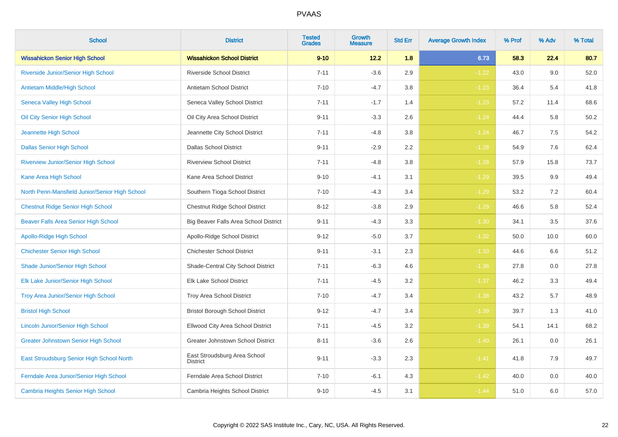| <b>School</b>                                  | <b>District</b>                                 | <b>Tested</b><br><b>Grades</b> | <b>Growth</b><br><b>Measure</b> | <b>Std Err</b> | <b>Average Growth Index</b> | % Prof | % Adv | % Total |
|------------------------------------------------|-------------------------------------------------|--------------------------------|---------------------------------|----------------|-----------------------------|--------|-------|---------|
| <b>Wissahickon Senior High School</b>          | <b>Wissahickon School District</b>              | $9 - 10$                       | 12.2                            | 1.8            | 6.73                        | 58.3   | 22.4  | 80.7    |
| Riverside Junior/Senior High School            | <b>Riverside School District</b>                | $7 - 11$                       | $-3.6$                          | 2.9            | $-1.22$                     | 43.0   | 9.0   | 52.0    |
| <b>Antietam Middle/High School</b>             | Antietam School District                        | $7 - 10$                       | $-4.7$                          | 3.8            | $-1.23$                     | 36.4   | 5.4   | 41.8    |
| <b>Seneca Valley High School</b>               | Seneca Valley School District                   | $7 - 11$                       | $-1.7$                          | 1.4            | $-1.23$                     | 57.2   | 11.4  | 68.6    |
| Oil City Senior High School                    | Oil City Area School District                   | $9 - 11$                       | $-3.3$                          | 2.6            | $-1.24$                     | 44.4   | 5.8   | 50.2    |
| Jeannette High School                          | Jeannette City School District                  | $7 - 11$                       | $-4.8$                          | 3.8            | $-1.24$                     | 46.7   | 7.5   | 54.2    |
| <b>Dallas Senior High School</b>               | <b>Dallas School District</b>                   | $9 - 11$                       | $-2.9$                          | 2.2            | $-1.28$                     | 54.9   | 7.6   | 62.4    |
| <b>Riverview Junior/Senior High School</b>     | <b>Riverview School District</b>                | $7 - 11$                       | $-4.8$                          | 3.8            | $-1.28$                     | 57.9   | 15.8  | 73.7    |
| Kane Area High School                          | Kane Area School District                       | $9 - 10$                       | $-4.1$                          | 3.1            | $-1.29$                     | 39.5   | 9.9   | 49.4    |
| North Penn-Mansfield Junior/Senior High School | Southern Tioga School District                  | $7 - 10$                       | $-4.3$                          | 3.4            | $-1.29$                     | 53.2   | 7.2   | 60.4    |
| <b>Chestnut Ridge Senior High School</b>       | Chestnut Ridge School District                  | $8 - 12$                       | $-3.8$                          | 2.9            | $-1.29$                     | 46.6   | 5.8   | 52.4    |
| Beaver Falls Area Senior High School           | Big Beaver Falls Area School District           | $9 - 11$                       | $-4.3$                          | 3.3            | $-1.30$                     | 34.1   | 3.5   | 37.6    |
| <b>Apollo-Ridge High School</b>                | Apollo-Ridge School District                    | $9 - 12$                       | $-5.0$                          | 3.7            | $-1.32$                     | 50.0   | 10.0  | 60.0    |
| <b>Chichester Senior High School</b>           | <b>Chichester School District</b>               | $9 - 11$                       | $-3.1$                          | 2.3            | $-1.33$                     | 44.6   | 6.6   | 51.2    |
| Shade Junior/Senior High School                | Shade-Central City School District              | $7 - 11$                       | $-6.3$                          | 4.6            | $-1.36$                     | 27.8   | 0.0   | 27.8    |
| Elk Lake Junior/Senior High School             | Elk Lake School District                        | $7 - 11$                       | $-4.5$                          | 3.2            | $-1.37$                     | 46.2   | 3.3   | 49.4    |
| Troy Area Junior/Senior High School            | Troy Area School District                       | $7 - 10$                       | $-4.7$                          | 3.4            | $-1.38$                     | 43.2   | 5.7   | 48.9    |
| <b>Bristol High School</b>                     | <b>Bristol Borough School District</b>          | $9 - 12$                       | $-4.7$                          | 3.4            | $-1.39$                     | 39.7   | 1.3   | 41.0    |
| <b>Lincoln Junior/Senior High School</b>       | Ellwood City Area School District               | $7 - 11$                       | $-4.5$                          | 3.2            | $-1.39$                     | 54.1   | 14.1  | 68.2    |
| <b>Greater Johnstown Senior High School</b>    | Greater Johnstown School District               | $8 - 11$                       | $-3.6$                          | 2.6            | $-1.40$                     | 26.1   | 0.0   | 26.1    |
| East Stroudsburg Senior High School North      | East Stroudsburg Area School<br><b>District</b> | $9 - 11$                       | $-3.3$                          | $2.3\,$        | $-1.41$                     | 41.8   | 7.9   | 49.7    |
| Ferndale Area Junior/Senior High School        | Ferndale Area School District                   | $7 - 10$                       | $-6.1$                          | 4.3            | $-1.42$                     | 40.0   | 0.0   | 40.0    |
| <b>Cambria Heights Senior High School</b>      | Cambria Heights School District                 | $9 - 10$                       | $-4.5$                          | 3.1            | $-1.44$                     | 51.0   | 6.0   | 57.0    |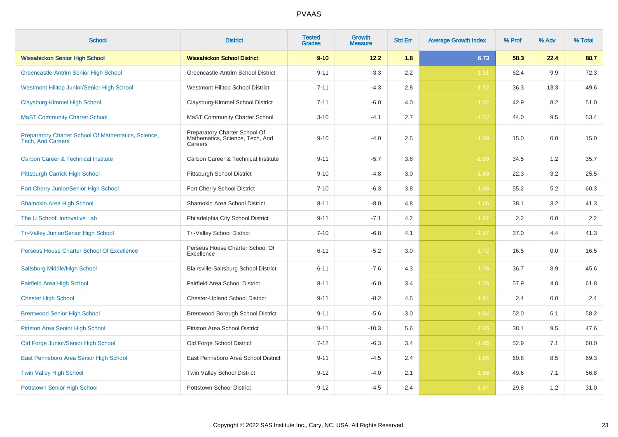| <b>School</b>                                                                   | <b>District</b>                                                             | <b>Tested</b><br><b>Grades</b> | Growth<br>Measure | <b>Std Err</b> | <b>Average Growth Index</b> | % Prof | % Adv | % Total |
|---------------------------------------------------------------------------------|-----------------------------------------------------------------------------|--------------------------------|-------------------|----------------|-----------------------------|--------|-------|---------|
| <b>Wissahickon Senior High School</b>                                           | <b>Wissahickon School District</b>                                          | $9 - 10$                       | 12.2              | 1.8            | 6.73                        | 58.3   | 22.4  | 80.7    |
| Greencastle-Antrim Senior High School                                           | Greencastle-Antrim School District                                          | $9 - 11$                       | $-3.3$            | 2.2            | $-1.51$                     | 62.4   | 9.9   | 72.3    |
| Westmont Hilltop Junior/Senior High School                                      | Westmont Hilltop School District                                            | $7 - 11$                       | $-4.3$            | 2.8            | $-1.52$                     | 36.3   | 13.3  | 49.6    |
| Claysburg-Kimmel High School                                                    | Claysburg-Kimmel School District                                            | $7 - 11$                       | $-6.0$            | 4.0            | $-1.52$                     | 42.9   | 8.2   | 51.0    |
| <b>MaST Community Charter School</b>                                            | <b>MaST Community Charter School</b>                                        | $3 - 10$                       | $-4.1$            | 2.7            | $-1.52$                     | 44.0   | 9.5   | 53.4    |
| Preparatory Charter School Of Mathematics, Science,<br><b>Tech, And Careers</b> | Preparatory Charter School Of<br>Mathematics, Science, Tech, And<br>Careers | $9 - 10$                       | $-4.0$            | 2.5            | $-1.59$                     | 15.0   | 0.0   | 15.0    |
| <b>Carbon Career &amp; Technical Institute</b>                                  | Carbon Career & Technical Institute                                         | $9 - 11$                       | $-5.7$            | 3.6            | $-1.59$                     | 34.5   | 1.2   | 35.7    |
| Pittsburgh Carrick High School                                                  | Pittsburgh School District                                                  | $9 - 10$                       | $-4.8$            | 3.0            | $-1.60$                     | 22.3   | 3.2   | 25.5    |
| Fort Cherry Junior/Senior High School                                           | Fort Cherry School District                                                 | $7 - 10$                       | $-6.3$            | 3.8            | $-1.66$                     | 55.2   | 5.2   | 60.3    |
| <b>Shamokin Area High School</b>                                                | Shamokin Area School District                                               | $8 - 11$                       | $-8.0$            | 4.8            | $-1.66$                     | 38.1   | 3.2   | 41.3    |
| The U School: Innovative Lab                                                    | Philadelphia City School District                                           | $9 - 11$                       | $-7.1$            | 4.2            | $-1.67$                     | 2.2    | 0.0   | $2.2\,$ |
| <b>Tri-Valley Junior/Senior High School</b>                                     | <b>Tri-Valley School District</b>                                           | $7 - 10$                       | $-6.8$            | 4.1            | $-1.67$                     | 37.0   | 4.4   | 41.3    |
| Perseus House Charter School Of Excellence                                      | Perseus House Charter School Of<br>Excellence                               | $6 - 11$                       | $-5.2$            | 3.0            | $-1.72$                     | 16.5   | 0.0   | 16.5    |
| Saltsburg Middle/High School                                                    | Blairsville-Saltsburg School District                                       | $6 - 11$                       | $-7.6$            | 4.3            | $-1.76$                     | 36.7   | 8.9   | 45.6    |
| <b>Fairfield Area High School</b>                                               | Fairfield Area School District                                              | $8 - 11$                       | $-6.0$            | 3.4            | $-1.76$                     | 57.9   | 4.0   | 61.8    |
| <b>Chester High School</b>                                                      | <b>Chester-Upland School District</b>                                       | $9 - 11$                       | $-8.2$            | 4.5            | $-1.84$                     | 2.4    | 0.0   | 2.4     |
| <b>Brentwood Senior High School</b>                                             | Brentwood Borough School District                                           | $9 - 11$                       | $-5.6$            | $3.0\,$        | $-1.84$                     | 52.0   | 6.1   | 58.2    |
| <b>Pittston Area Senior High School</b>                                         | Pittston Area School District                                               | $9 - 11$                       | $-10.3$           | 5.6            | $-1.85$                     | 38.1   | 9.5   | 47.6    |
| Old Forge Junior/Senior High School                                             | Old Forge School District                                                   | $7 - 12$                       | $-6.3$            | 3.4            | $-1.85$                     | 52.9   | 7.1   | 60.0    |
| East Pennsboro Area Senior High School                                          | East Pennsboro Area School District                                         | $9 - 11$                       | $-4.5$            | 2.4            | $-1.85$                     | 60.8   | 8.5   | 69.3    |
| <b>Twin Valley High School</b>                                                  | Twin Valley School District                                                 | $9 - 12$                       | $-4.0$            | 2.1            | $-1.86$                     | 49.6   | 7.1   | 56.8    |
| <b>Pottstown Senior High School</b>                                             | <b>Pottstown School District</b>                                            | $9 - 12$                       | $-4.5$            | 2.4            | $-1.87$                     | 29.8   | 1.2   | 31.0    |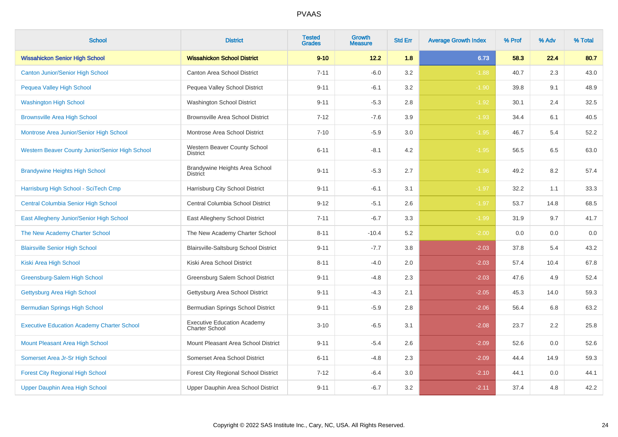| <b>School</b>                                     | <b>District</b>                                             | <b>Tested</b><br><b>Grades</b> | Growth<br><b>Measure</b> | <b>Std Err</b> | <b>Average Growth Index</b> | % Prof | % Adv | % Total |
|---------------------------------------------------|-------------------------------------------------------------|--------------------------------|--------------------------|----------------|-----------------------------|--------|-------|---------|
| <b>Wissahickon Senior High School</b>             | <b>Wissahickon School District</b>                          | $9 - 10$                       | 12.2                     | 1.8            | 6.73                        | 58.3   | 22.4  | 80.7    |
| <b>Canton Junior/Senior High School</b>           | <b>Canton Area School District</b>                          | $7 - 11$                       | $-6.0$                   | 3.2            | $-1.88$                     | 40.7   | 2.3   | 43.0    |
| Pequea Valley High School                         | Pequea Valley School District                               | $9 - 11$                       | $-6.1$                   | 3.2            | $-1.90$                     | 39.8   | 9.1   | 48.9    |
| <b>Washington High School</b>                     | Washington School District                                  | $9 - 11$                       | $-5.3$                   | 2.8            | $-1.92$                     | 30.1   | 2.4   | 32.5    |
| <b>Brownsville Area High School</b>               | <b>Brownsville Area School District</b>                     | $7 - 12$                       | $-7.6$                   | 3.9            | $-1.93$                     | 34.4   | 6.1   | 40.5    |
| Montrose Area Junior/Senior High School           | Montrose Area School District                               | $7 - 10$                       | $-5.9$                   | 3.0            | $-1.95$                     | 46.7   | 5.4   | 52.2    |
| Western Beaver County Junior/Senior High School   | Western Beaver County School<br><b>District</b>             | $6 - 11$                       | $-8.1$                   | 4.2            | $-1.95$                     | 56.5   | 6.5   | 63.0    |
| <b>Brandywine Heights High School</b>             | Brandywine Heights Area School<br><b>District</b>           | $9 - 11$                       | $-5.3$                   | 2.7            | $-1.96$                     | 49.2   | 8.2   | 57.4    |
| Harrisburg High School - SciTech Cmp              | Harrisburg City School District                             | $9 - 11$                       | $-6.1$                   | 3.1            | $-1.97$                     | 32.2   | 1.1   | 33.3    |
| <b>Central Columbia Senior High School</b>        | Central Columbia School District                            | $9 - 12$                       | $-5.1$                   | 2.6            | $-1.97$                     | 53.7   | 14.8  | 68.5    |
| East Allegheny Junior/Senior High School          | East Allegheny School District                              | $7 - 11$                       | $-6.7$                   | 3.3            | $-1.99$                     | 31.9   | 9.7   | 41.7    |
| The New Academy Charter School                    | The New Academy Charter School                              | $8 - 11$                       | $-10.4$                  | 5.2            | $-2.00$                     | 0.0    | 0.0   | 0.0     |
| <b>Blairsville Senior High School</b>             | Blairsville-Saltsburg School District                       | $9 - 11$                       | $-7.7$                   | 3.8            | $-2.03$                     | 37.8   | 5.4   | 43.2    |
| Kiski Area High School                            | Kiski Area School District                                  | $8 - 11$                       | $-4.0$                   | 2.0            | $-2.03$                     | 57.4   | 10.4  | 67.8    |
| Greensburg-Salem High School                      | Greensburg Salem School District                            | $9 - 11$                       | $-4.8$                   | 2.3            | $-2.03$                     | 47.6   | 4.9   | 52.4    |
| Gettysburg Area High School                       | Gettysburg Area School District                             | $9 - 11$                       | $-4.3$                   | 2.1            | $-2.05$                     | 45.3   | 14.0  | 59.3    |
| <b>Bermudian Springs High School</b>              | Bermudian Springs School District                           | $9 - 11$                       | $-5.9$                   | 2.8            | $-2.06$                     | 56.4   | 6.8   | 63.2    |
| <b>Executive Education Academy Charter School</b> | <b>Executive Education Academy</b><br><b>Charter School</b> | $3 - 10$                       | $-6.5$                   | 3.1            | $-2.08$                     | 23.7   | 2.2   | 25.8    |
| Mount Pleasant Area High School                   | Mount Pleasant Area School District                         | $9 - 11$                       | $-5.4$                   | 2.6            | $-2.09$                     | 52.6   | 0.0   | 52.6    |
| Somerset Area Jr-Sr High School                   | Somerset Area School District                               | $6 - 11$                       | $-4.8$                   | 2.3            | $-2.09$                     | 44.4   | 14.9  | 59.3    |
| <b>Forest City Regional High School</b>           | Forest City Regional School District                        | $7 - 12$                       | $-6.4$                   | 3.0            | $-2.10$                     | 44.1   | 0.0   | 44.1    |
| Upper Dauphin Area High School                    | Upper Dauphin Area School District                          | $9 - 11$                       | $-6.7$                   | 3.2            | $-2.11$                     | 37.4   | 4.8   | 42.2    |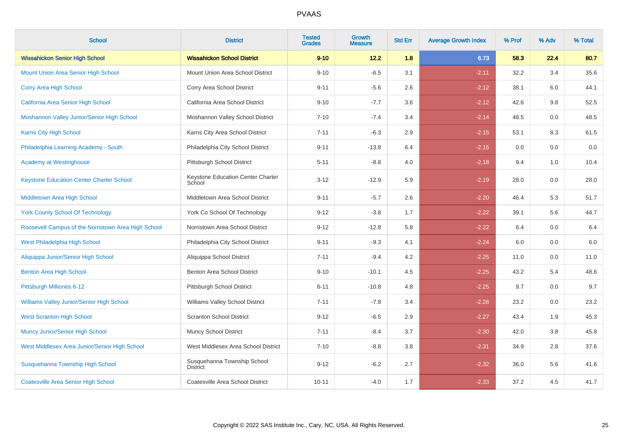| <b>School</b>                                       | <b>District</b>                                | <b>Tested</b><br><b>Grades</b> | <b>Growth</b><br><b>Measure</b> | <b>Std Err</b> | <b>Average Growth Index</b> | % Prof | % Adv | % Total |
|-----------------------------------------------------|------------------------------------------------|--------------------------------|---------------------------------|----------------|-----------------------------|--------|-------|---------|
| <b>Wissahickon Senior High School</b>               | <b>Wissahickon School District</b>             | $9 - 10$                       | 12.2                            | 1.8            | 6.73                        | 58.3   | 22.4  | 80.7    |
| <b>Mount Union Area Senior High School</b>          | Mount Union Area School District               | $9 - 10$                       | $-6.5$                          | 3.1            | $-2.11$                     | 32.2   | 3.4   | 35.6    |
| Corry Area High School                              | Corry Area School District                     | $9 - 11$                       | $-5.6$                          | 2.6            | $-2.12$                     | 38.1   | 6.0   | 44.1    |
| California Area Senior High School                  | California Area School District                | $9 - 10$                       | $-7.7$                          | 3.6            | $-2.12$                     | 42.6   | 9.8   | 52.5    |
| Moshannon Valley Junior/Senior High School          | Moshannon Valley School District               | $7 - 10$                       | $-7.4$                          | 3.4            | $-2.14$                     | 48.5   | 0.0   | 48.5    |
| Karns City High School                              | Karns City Area School District                | $7 - 11$                       | $-6.3$                          | 2.9            | $-2.15$                     | 53.1   | 8.3   | 61.5    |
| Philadelphia Learning Academy - South               | Philadelphia City School District              | $9 - 11$                       | $-13.8$                         | 6.4            | $-2.15$                     | 0.0    | 0.0   | $0.0\,$ |
| <b>Academy at Westinghouse</b>                      | Pittsburgh School District                     | $5 - 11$                       | $-8.8$                          | 4.0            | $-2.18$                     | 9.4    | 1.0   | 10.4    |
| <b>Keystone Education Center Charter School</b>     | Keystone Education Center Charter<br>School    | $3 - 12$                       | $-12.9$                         | 5.9            | $-2.19$                     | 28.0   | 0.0   | 28.0    |
| Middletown Area High School                         | Middletown Area School District                | $9 - 11$                       | $-5.7$                          | 2.6            | $-2.20$                     | 46.4   | 5.3   | 51.7    |
| <b>York County School Of Technology</b>             | York Co School Of Technology                   | $9 - 12$                       | $-3.8$                          | 1.7            | $-2.22$                     | 39.1   | 5.6   | 44.7    |
| Roosevelt Campus of the Norristown Area High School | Norristown Area School District                | $9 - 12$                       | $-12.8$                         | 5.8            | $-2.22$                     | 6.4    | 0.0   | $6.4\,$ |
| West Philadelphia High School                       | Philadelphia City School District              | $9 - 11$                       | $-9.3$                          | 4.1            | $-2.24$                     | 6.0    | 0.0   | $6.0\,$ |
| Aliquippa Junior/Senior High School                 | Aliquippa School District                      | $7 - 11$                       | $-9.4$                          | 4.2            | $-2.25$                     | 11.0   | 0.0   | 11.0    |
| <b>Benton Area High School</b>                      | Benton Area School District                    | $9 - 10$                       | $-10.1$                         | 4.5            | $-2.25$                     | 43.2   | 5.4   | 48.6    |
| Pittsburgh Milliones 6-12                           | Pittsburgh School District                     | $6 - 11$                       | $-10.8$                         | 4.8            | $-2.25$                     | 9.7    | 0.0   | 9.7     |
| Williams Valley Junior/Senior High School           | Williams Valley School District                | $7 - 11$                       | $-7.8$                          | 3.4            | $-2.26$                     | 23.2   | 0.0   | 23.2    |
| <b>West Scranton High School</b>                    | <b>Scranton School District</b>                | $9 - 12$                       | $-6.5$                          | 2.9            | $-2.27$                     | 43.4   | 1.9   | 45.3    |
| <b>Muncy Junior/Senior High School</b>              | Muncy School District                          | $7 - 11$                       | $-8.4$                          | 3.7            | $-2.30$                     | 42.0   | 3.8   | 45.8    |
| West Middlesex Area Junior/Senior High School       | West Middlesex Area School District            | $7 - 10$                       | $-8.8$                          | 3.8            | $-2.31$                     | 34.9   | 2.8   | 37.6    |
| Susquehanna Township High School                    | Susquehanna Township School<br><b>District</b> | $9 - 12$                       | $-6.2$                          | 2.7            | $-2.32$                     | 36.0   | 5.6   | 41.6    |
| <b>Coatesville Area Senior High School</b>          | Coatesville Area School District               | $10 - 11$                      | $-4.0$                          | 1.7            | $-2.33$                     | 37.2   | 4.5   | 41.7    |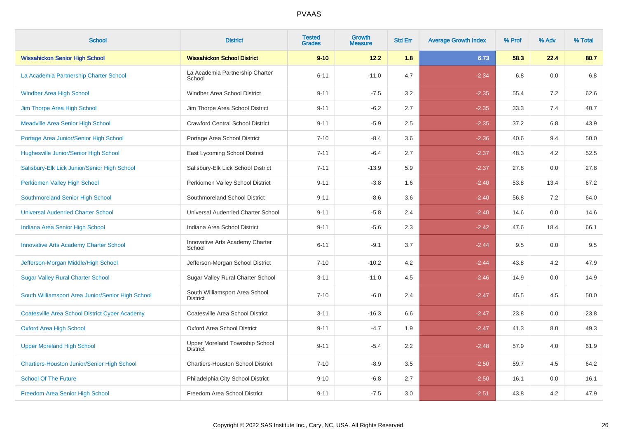| <b>School</b>                                         | <b>District</b>                                   | <b>Tested</b><br><b>Grades</b> | Growth<br><b>Measure</b> | <b>Std Err</b> | <b>Average Growth Index</b> | % Prof | % Adv   | % Total |
|-------------------------------------------------------|---------------------------------------------------|--------------------------------|--------------------------|----------------|-----------------------------|--------|---------|---------|
| <b>Wissahickon Senior High School</b>                 | <b>Wissahickon School District</b>                | $9 - 10$                       | 12.2                     | 1.8            | 6.73                        | 58.3   | 22.4    | 80.7    |
| La Academia Partnership Charter School                | La Academia Partnership Charter<br>School         | $6 - 11$                       | $-11.0$                  | 4.7            | $-2.34$                     | 6.8    | 0.0     | 6.8     |
| <b>Windber Area High School</b>                       | Windber Area School District                      | $9 - 11$                       | $-7.5$                   | 3.2            | $-2.35$                     | 55.4   | 7.2     | 62.6    |
| Jim Thorpe Area High School                           | Jim Thorpe Area School District                   | $9 - 11$                       | $-6.2$                   | 2.7            | $-2.35$                     | 33.3   | 7.4     | 40.7    |
| <b>Meadville Area Senior High School</b>              | <b>Crawford Central School District</b>           | $9 - 11$                       | $-5.9$                   | 2.5            | $-2.35$                     | 37.2   | 6.8     | 43.9    |
| Portage Area Junior/Senior High School                | Portage Area School District                      | $7 - 10$                       | $-8.4$                   | 3.6            | $-2.36$                     | 40.6   | 9.4     | 50.0    |
| <b>Hughesville Junior/Senior High School</b>          | East Lycoming School District                     | $7 - 11$                       | $-6.4$                   | 2.7            | $-2.37$                     | 48.3   | 4.2     | 52.5    |
| Salisbury-Elk Lick Junior/Senior High School          | Salisbury-Elk Lick School District                | $7 - 11$                       | $-13.9$                  | 5.9            | $-2.37$                     | 27.8   | 0.0     | 27.8    |
| Perkiomen Valley High School                          | Perkiomen Valley School District                  | $9 - 11$                       | $-3.8$                   | 1.6            | $-2.40$                     | 53.8   | 13.4    | 67.2    |
| Southmoreland Senior High School                      | Southmoreland School District                     | $9 - 11$                       | $-8.6$                   | 3.6            | $-2.40$                     | 56.8   | 7.2     | 64.0    |
| <b>Universal Audenried Charter School</b>             | Universal Audenried Charter School                | $9 - 11$                       | $-5.8$                   | 2.4            | $-2.40$                     | 14.6   | 0.0     | 14.6    |
| Indiana Area Senior High School                       | Indiana Area School District                      | $9 - 11$                       | $-5.6$                   | 2.3            | $-2.42$                     | 47.6   | 18.4    | 66.1    |
| <b>Innovative Arts Academy Charter School</b>         | Innovative Arts Academy Charter<br>School         | $6 - 11$                       | $-9.1$                   | 3.7            | $-2.44$                     | 9.5    | 0.0     | 9.5     |
| Jefferson-Morgan Middle/High School                   | Jefferson-Morgan School District                  | $7 - 10$                       | $-10.2$                  | 4.2            | $-2.44$                     | 43.8   | 4.2     | 47.9    |
| <b>Sugar Valley Rural Charter School</b>              | Sugar Valley Rural Charter School                 | $3 - 11$                       | $-11.0$                  | 4.5            | $-2.46$                     | 14.9   | 0.0     | 14.9    |
| South Williamsport Area Junior/Senior High School     | South Williamsport Area School<br><b>District</b> | $7 - 10$                       | $-6.0$                   | 2.4            | $-2.47$                     | 45.5   | 4.5     | 50.0    |
| <b>Coatesville Area School District Cyber Academy</b> | Coatesville Area School District                  | $3 - 11$                       | $-16.3$                  | 6.6            | $-2.47$                     | 23.8   | $0.0\,$ | 23.8    |
| <b>Oxford Area High School</b>                        | Oxford Area School District                       | $9 - 11$                       | $-4.7$                   | 1.9            | $-2.47$                     | 41.3   | 8.0     | 49.3    |
| <b>Upper Moreland High School</b>                     | Upper Moreland Township School<br><b>District</b> | $9 - 11$                       | $-5.4$                   | 2.2            | $-2.48$                     | 57.9   | 4.0     | 61.9    |
| Chartiers-Houston Junior/Senior High School           | <b>Chartiers-Houston School District</b>          | $7 - 10$                       | $-8.9$                   | 3.5            | $-2.50$                     | 59.7   | 4.5     | 64.2    |
| <b>School Of The Future</b>                           | Philadelphia City School District                 | $9 - 10$                       | $-6.8$                   | 2.7            | $-2.50$                     | 16.1   | 0.0     | 16.1    |
| Freedom Area Senior High School                       | Freedom Area School District                      | $9 - 11$                       | $-7.5$                   | 3.0            | $-2.51$                     | 43.8   | 4.2     | 47.9    |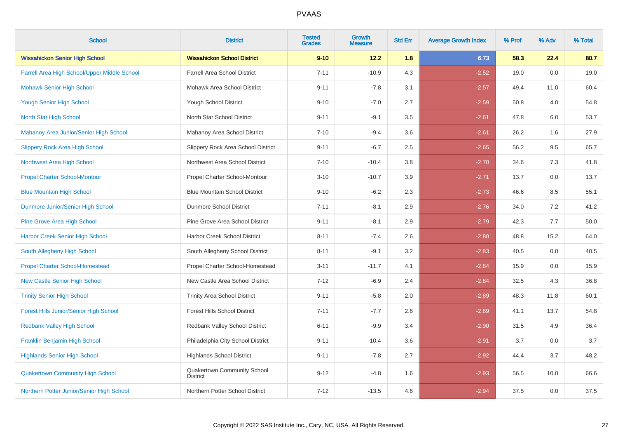| <b>School</b>                                 | <b>District</b>                                | <b>Tested</b><br><b>Grades</b> | <b>Growth</b><br><b>Measure</b> | <b>Std Err</b> | <b>Average Growth Index</b> | % Prof | % Adv | % Total |
|-----------------------------------------------|------------------------------------------------|--------------------------------|---------------------------------|----------------|-----------------------------|--------|-------|---------|
| <b>Wissahickon Senior High School</b>         | <b>Wissahickon School District</b>             | $9 - 10$                       | 12.2                            | 1.8            | 6.73                        | 58.3   | 22.4  | 80.7    |
| Farrell Area High School/Upper Middle School  | <b>Farrell Area School District</b>            | $7 - 11$                       | $-10.9$                         | 4.3            | $-2.52$                     | 19.0   | 0.0   | 19.0    |
| <b>Mohawk Senior High School</b>              | Mohawk Area School District                    | $9 - 11$                       | $-7.8$                          | 3.1            | $-2.57$                     | 49.4   | 11.0  | 60.4    |
| <b>Yough Senior High School</b>               | Yough School District                          | $9 - 10$                       | $-7.0$                          | 2.7            | $-2.59$                     | 50.8   | 4.0   | 54.8    |
| North Star High School                        | North Star School District                     | $9 - 11$                       | $-9.1$                          | 3.5            | $-2.61$                     | 47.8   | 6.0   | 53.7    |
| Mahanoy Area Junior/Senior High School        | Mahanoy Area School District                   | $7 - 10$                       | $-9.4$                          | 3.6            | $-2.61$                     | 26.2   | 1.6   | 27.9    |
| <b>Slippery Rock Area High School</b>         | Slippery Rock Area School District             | $9 - 11$                       | $-6.7$                          | 2.5            | $-2.65$                     | 56.2   | 9.5   | 65.7    |
| Northwest Area High School                    | Northwest Area School District                 | $7 - 10$                       | $-10.4$                         | 3.8            | $-2.70$                     | 34.6   | 7.3   | 41.8    |
| <b>Propel Charter School-Montour</b>          | Propel Charter School-Montour                  | $3 - 10$                       | $-10.7$                         | 3.9            | $-2.71$                     | 13.7   | 0.0   | 13.7    |
| <b>Blue Mountain High School</b>              | <b>Blue Mountain School District</b>           | $9 - 10$                       | $-6.2$                          | 2.3            | $-2.73$                     | 46.6   | 8.5   | 55.1    |
| Dunmore Junior/Senior High School             | <b>Dunmore School District</b>                 | $7 - 11$                       | $-8.1$                          | 2.9            | $-2.76$                     | 34.0   | 7.2   | 41.2    |
| <b>Pine Grove Area High School</b>            | Pine Grove Area School District                | $9 - 11$                       | $-8.1$                          | 2.9            | $-2.79$                     | 42.3   | 7.7   | 50.0    |
| <b>Harbor Creek Senior High School</b>        | Harbor Creek School District                   | $8 - 11$                       | $-7.4$                          | 2.6            | $-2.80$                     | 48.8   | 15.2  | 64.0    |
| South Allegheny High School                   | South Allegheny School District                | $8 - 11$                       | $-9.1$                          | 3.2            | $-2.83$                     | 40.5   | 0.0   | 40.5    |
| <b>Propel Charter School-Homestead</b>        | Propel Charter School-Homestead                | $3 - 11$                       | $-11.7$                         | 4.1            | $-2.84$                     | 15.9   | 0.0   | 15.9    |
| <b>New Castle Senior High School</b>          | New Castle Area School District                | $7 - 12$                       | $-6.9$                          | 2.4            | $-2.84$                     | 32.5   | 4.3   | 36.8    |
| <b>Trinity Senior High School</b>             | <b>Trinity Area School District</b>            | $9 - 11$                       | $-5.8$                          | 2.0            | $-2.89$                     | 48.3   | 11.8  | 60.1    |
| <b>Forest Hills Junior/Senior High School</b> | <b>Forest Hills School District</b>            | $7 - 11$                       | $-7.7$                          | 2.6            | $-2.89$                     | 41.1   | 13.7  | 54.8    |
| <b>Redbank Valley High School</b>             | Redbank Valley School District                 | $6 - 11$                       | $-9.9$                          | 3.4            | $-2.90$                     | 31.5   | 4.9   | 36.4    |
| Franklin Benjamin High School                 | Philadelphia City School District              | $9 - 11$                       | $-10.4$                         | 3.6            | $-2.91$                     | 3.7    | 0.0   | 3.7     |
| <b>Highlands Senior High School</b>           | <b>Highlands School District</b>               | $9 - 11$                       | $-7.8$                          | 2.7            | $-2.92$                     | 44.4   | 3.7   | 48.2    |
| <b>Quakertown Community High School</b>       | Quakertown Community School<br><b>District</b> | $9 - 12$                       | $-4.8$                          | 1.6            | $-2.93$                     | 56.5   | 10.0  | 66.6    |
| Northern Potter Junior/Senior High School     | Northern Potter School District                | $7 - 12$                       | $-13.5$                         | 4.6            | $-2.94$                     | 37.5   | 0.0   | 37.5    |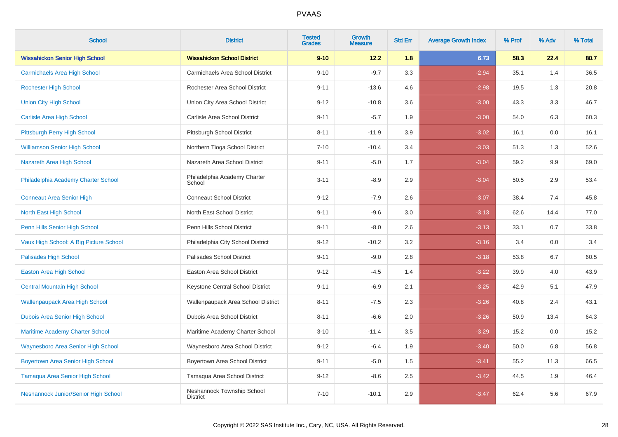| <b>School</b>                            | <b>District</b>                               | <b>Tested</b><br><b>Grades</b> | <b>Growth</b><br><b>Measure</b> | <b>Std Err</b> | <b>Average Growth Index</b> | % Prof | % Adv | % Total |
|------------------------------------------|-----------------------------------------------|--------------------------------|---------------------------------|----------------|-----------------------------|--------|-------|---------|
| <b>Wissahickon Senior High School</b>    | <b>Wissahickon School District</b>            | $9 - 10$                       | 12.2                            | 1.8            | 6.73                        | 58.3   | 22.4  | 80.7    |
| <b>Carmichaels Area High School</b>      | Carmichaels Area School District              | $9 - 10$                       | $-9.7$                          | 3.3            | $-2.94$                     | 35.1   | 1.4   | 36.5    |
| <b>Rochester High School</b>             | Rochester Area School District                | $9 - 11$                       | $-13.6$                         | 4.6            | $-2.98$                     | 19.5   | 1.3   | 20.8    |
| <b>Union City High School</b>            | Union City Area School District               | $9 - 12$                       | $-10.8$                         | 3.6            | $-3.00$                     | 43.3   | 3.3   | 46.7    |
| <b>Carlisle Area High School</b>         | Carlisle Area School District                 | $9 - 11$                       | $-5.7$                          | 1.9            | $-3.00$                     | 54.0   | 6.3   | 60.3    |
| Pittsburgh Perry High School             | Pittsburgh School District                    | $8 - 11$                       | $-11.9$                         | 3.9            | $-3.02$                     | 16.1   | 0.0   | 16.1    |
| <b>Williamson Senior High School</b>     | Northern Tioga School District                | $7 - 10$                       | $-10.4$                         | 3.4            | $-3.03$                     | 51.3   | 1.3   | 52.6    |
| Nazareth Area High School                | Nazareth Area School District                 | $9 - 11$                       | $-5.0$                          | 1.7            | $-3.04$                     | 59.2   | 9.9   | 69.0    |
| Philadelphia Academy Charter School      | Philadelphia Academy Charter<br>School        | $3 - 11$                       | $-8.9$                          | 2.9            | $-3.04$                     | 50.5   | 2.9   | 53.4    |
| <b>Conneaut Area Senior High</b>         | <b>Conneaut School District</b>               | $9 - 12$                       | $-7.9$                          | 2.6            | $-3.07$                     | 38.4   | 7.4   | 45.8    |
| North East High School                   | North East School District                    | $9 - 11$                       | $-9.6$                          | 3.0            | $-3.13$                     | 62.6   | 14.4  | 77.0    |
| Penn Hills Senior High School            | Penn Hills School District                    | $9 - 11$                       | $-8.0$                          | 2.6            | $-3.13$                     | 33.1   | 0.7   | 33.8    |
| Vaux High School: A Big Picture School   | Philadelphia City School District             | $9 - 12$                       | $-10.2$                         | 3.2            | $-3.16$                     | 3.4    | 0.0   | 3.4     |
| <b>Palisades High School</b>             | Palisades School District                     | $9 - 11$                       | $-9.0$                          | 2.8            | $-3.18$                     | 53.8   | 6.7   | 60.5    |
| <b>Easton Area High School</b>           | Easton Area School District                   | $9 - 12$                       | $-4.5$                          | 1.4            | $-3.22$                     | 39.9   | 4.0   | 43.9    |
| <b>Central Mountain High School</b>      | Keystone Central School District              | $9 - 11$                       | $-6.9$                          | 2.1            | $-3.25$                     | 42.9   | 5.1   | 47.9    |
| <b>Wallenpaupack Area High School</b>    | Wallenpaupack Area School District            | $8 - 11$                       | $-7.5$                          | $2.3\,$        | $-3.26$                     | 40.8   | 2.4   | 43.1    |
| Dubois Area Senior High School           | Dubois Area School District                   | $8 - 11$                       | $-6.6$                          | 2.0            | $-3.26$                     | 50.9   | 13.4  | 64.3    |
| <b>Maritime Academy Charter School</b>   | Maritime Academy Charter School               | $3 - 10$                       | $-11.4$                         | 3.5            | $-3.29$                     | 15.2   | 0.0   | 15.2    |
| Waynesboro Area Senior High School       | Waynesboro Area School District               | $9 - 12$                       | $-6.4$                          | 1.9            | $-3.40$                     | 50.0   | 6.8   | 56.8    |
| <b>Boyertown Area Senior High School</b> | Boyertown Area School District                | $9 - 11$                       | $-5.0$                          | 1.5            | $-3.41$                     | 55.2   | 11.3  | 66.5    |
| <b>Tamaqua Area Senior High School</b>   | Tamaqua Area School District                  | $9 - 12$                       | $-8.6$                          | 2.5            | $-3.42$                     | 44.5   | 1.9   | 46.4    |
| Neshannock Junior/Senior High School     | Neshannock Township School<br><b>District</b> | $7 - 10$                       | $-10.1$                         | 2.9            | $-3.47$                     | 62.4   | 5.6   | 67.9    |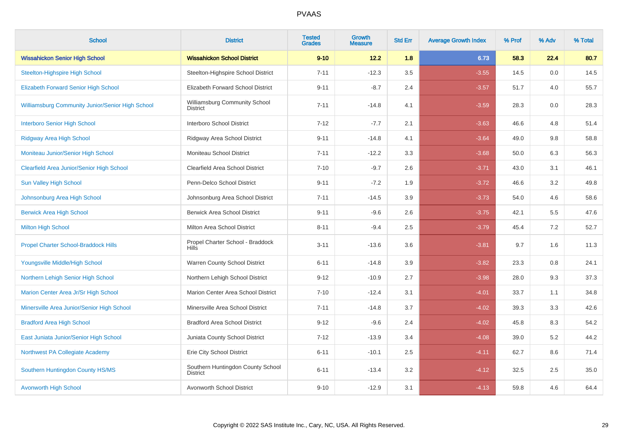| <b>School</b>                                           | <b>District</b>                                      | <b>Tested</b><br><b>Grades</b> | <b>Growth</b><br><b>Measure</b> | <b>Std Err</b> | <b>Average Growth Index</b> | % Prof | % Adv | % Total |
|---------------------------------------------------------|------------------------------------------------------|--------------------------------|---------------------------------|----------------|-----------------------------|--------|-------|---------|
| <b>Wissahickon Senior High School</b>                   | <b>Wissahickon School District</b>                   | $9 - 10$                       | 12.2                            | 1.8            | 6.73                        | 58.3   | 22.4  | 80.7    |
| <b>Steelton-Highspire High School</b>                   | Steelton-Highspire School District                   | $7 - 11$                       | $-12.3$                         | 3.5            | $-3.55$                     | 14.5   | 0.0   | 14.5    |
| <b>Elizabeth Forward Senior High School</b>             | Elizabeth Forward School District                    | $9 - 11$                       | $-8.7$                          | 2.4            | $-3.57$                     | 51.7   | 4.0   | 55.7    |
| <b>Williamsburg Community Junior/Senior High School</b> | Williamsburg Community School<br><b>District</b>     | $7 - 11$                       | $-14.8$                         | 4.1            | $-3.59$                     | 28.3   | 0.0   | 28.3    |
| <b>Interboro Senior High School</b>                     | Interboro School District                            | $7 - 12$                       | $-7.7$                          | 2.1            | $-3.63$                     | 46.6   | 4.8   | 51.4    |
| <b>Ridgway Area High School</b>                         | Ridgway Area School District                         | $9 - 11$                       | $-14.8$                         | 4.1            | $-3.64$                     | 49.0   | 9.8   | 58.8    |
| Moniteau Junior/Senior High School                      | Moniteau School District                             | $7 - 11$                       | $-12.2$                         | 3.3            | $-3.68$                     | 50.0   | 6.3   | 56.3    |
| <b>Clearfield Area Junior/Senior High School</b>        | Clearfield Area School District                      | $7 - 10$                       | $-9.7$                          | 2.6            | $-3.71$                     | 43.0   | 3.1   | 46.1    |
| <b>Sun Valley High School</b>                           | Penn-Delco School District                           | $9 - 11$                       | $-7.2$                          | 1.9            | $-3.72$                     | 46.6   | 3.2   | 49.8    |
| Johnsonburg Area High School                            | Johnsonburg Area School District                     | $7 - 11$                       | $-14.5$                         | 3.9            | $-3.73$                     | 54.0   | 4.6   | 58.6    |
| <b>Berwick Area High School</b>                         | <b>Berwick Area School District</b>                  | $9 - 11$                       | $-9.6$                          | 2.6            | $-3.75$                     | 42.1   | 5.5   | 47.6    |
| <b>Milton High School</b>                               | Milton Area School District                          | $8 - 11$                       | $-9.4$                          | 2.5            | $-3.79$                     | 45.4   | 7.2   | 52.7    |
| <b>Propel Charter School-Braddock Hills</b>             | Propel Charter School - Braddock<br><b>Hills</b>     | $3 - 11$                       | $-13.6$                         | 3.6            | $-3.81$                     | 9.7    | 1.6   | 11.3    |
| Youngsville Middle/High School                          | Warren County School District                        | $6 - 11$                       | $-14.8$                         | 3.9            | $-3.82$                     | 23.3   | 0.8   | 24.1    |
| Northern Lehigh Senior High School                      | Northern Lehigh School District                      | $9 - 12$                       | $-10.9$                         | 2.7            | $-3.98$                     | 28.0   | 9.3   | 37.3    |
| Marion Center Area Jr/Sr High School                    | Marion Center Area School District                   | $7 - 10$                       | $-12.4$                         | 3.1            | $-4.01$                     | 33.7   | 1.1   | 34.8    |
| Minersville Area Junior/Senior High School              | Minersville Area School District                     | $7 - 11$                       | $-14.8$                         | 3.7            | $-4.02$                     | 39.3   | 3.3   | 42.6    |
| <b>Bradford Area High School</b>                        | <b>Bradford Area School District</b>                 | $9 - 12$                       | $-9.6$                          | 2.4            | $-4.02$                     | 45.8   | 8.3   | 54.2    |
| East Juniata Junior/Senior High School                  | Juniata County School District                       | $7 - 12$                       | $-13.9$                         | 3.4            | $-4.08$                     | 39.0   | 5.2   | 44.2    |
| Northwest PA Collegiate Academy                         | Erie City School District                            | $6 - 11$                       | $-10.1$                         | 2.5            | $-4.11$                     | 62.7   | 8.6   | 71.4    |
| Southern Huntingdon County HS/MS                        | Southern Huntingdon County School<br><b>District</b> | $6 - 11$                       | $-13.4$                         | 3.2            | $-4.12$                     | 32.5   | 2.5   | 35.0    |
| <b>Avonworth High School</b>                            | Avonworth School District                            | $9 - 10$                       | $-12.9$                         | 3.1            | $-4.13$                     | 59.8   | 4.6   | 64.4    |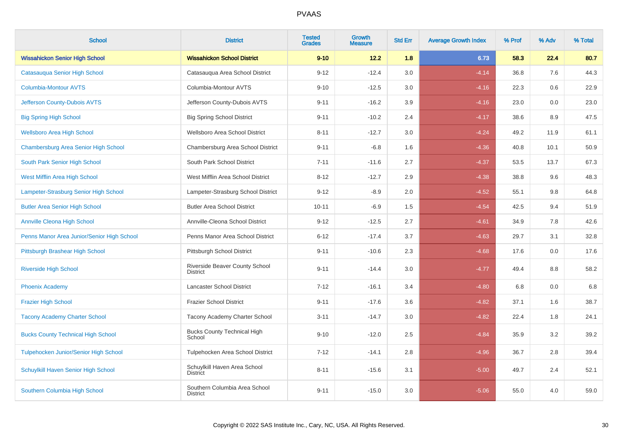| <b>School</b>                              | <b>District</b>                                  | <b>Tested</b><br><b>Grades</b> | <b>Growth</b><br><b>Measure</b> | <b>Std Err</b> | <b>Average Growth Index</b> | % Prof | % Adv   | % Total |
|--------------------------------------------|--------------------------------------------------|--------------------------------|---------------------------------|----------------|-----------------------------|--------|---------|---------|
| <b>Wissahickon Senior High School</b>      | <b>Wissahickon School District</b>               | $9 - 10$                       | 12.2                            | 1.8            | 6.73                        | 58.3   | 22.4    | 80.7    |
| Catasauqua Senior High School              | Catasauqua Area School District                  | $9 - 12$                       | $-12.4$                         | 3.0            | $-4.14$                     | 36.8   | 7.6     | 44.3    |
| <b>Columbia-Montour AVTS</b>               | Columbia-Montour AVTS                            | $9 - 10$                       | $-12.5$                         | 3.0            | $-4.16$                     | 22.3   | 0.6     | 22.9    |
| Jefferson County-Dubois AVTS               | Jefferson County-Dubois AVTS                     | $9 - 11$                       | $-16.2$                         | 3.9            | $-4.16$                     | 23.0   | $0.0\,$ | 23.0    |
| <b>Big Spring High School</b>              | <b>Big Spring School District</b>                | $9 - 11$                       | $-10.2$                         | 2.4            | $-4.17$                     | 38.6   | 8.9     | 47.5    |
| <b>Wellsboro Area High School</b>          | Wellsboro Area School District                   | $8 - 11$                       | $-12.7$                         | 3.0            | $-4.24$                     | 49.2   | 11.9    | 61.1    |
| Chambersburg Area Senior High School       | Chambersburg Area School District                | $9 - 11$                       | $-6.8$                          | 1.6            | $-4.36$                     | 40.8   | 10.1    | 50.9    |
| South Park Senior High School              | South Park School District                       | $7 - 11$                       | $-11.6$                         | 2.7            | $-4.37$                     | 53.5   | 13.7    | 67.3    |
| West Mifflin Area High School              | West Mifflin Area School District                | $8 - 12$                       | $-12.7$                         | 2.9            | $-4.38$                     | 38.8   | 9.6     | 48.3    |
| Lampeter-Strasburg Senior High School      | Lampeter-Strasburg School District               | $9 - 12$                       | $-8.9$                          | 2.0            | $-4.52$                     | 55.1   | 9.8     | 64.8    |
| <b>Butler Area Senior High School</b>      | <b>Butler Area School District</b>               | $10 - 11$                      | $-6.9$                          | 1.5            | $-4.54$                     | 42.5   | 9.4     | 51.9    |
| <b>Annville Cleona High School</b>         | Annville-Cleona School District                  | $9 - 12$                       | $-12.5$                         | 2.7            | $-4.61$                     | 34.9   | 7.8     | 42.6    |
| Penns Manor Area Junior/Senior High School | Penns Manor Area School District                 | $6 - 12$                       | $-17.4$                         | 3.7            | $-4.63$                     | 29.7   | 3.1     | 32.8    |
| Pittsburgh Brashear High School            | Pittsburgh School District                       | $9 - 11$                       | $-10.6$                         | 2.3            | $-4.68$                     | 17.6   | 0.0     | 17.6    |
| <b>Riverside High School</b>               | Riverside Beaver County School<br>District       | $9 - 11$                       | $-14.4$                         | 3.0            | $-4.77$                     | 49.4   | 8.8     | 58.2    |
| <b>Phoenix Academy</b>                     | <b>Lancaster School District</b>                 | $7 - 12$                       | $-16.1$                         | 3.4            | $-4.80$                     | 6.8    | 0.0     | 6.8     |
| <b>Frazier High School</b>                 | <b>Frazier School District</b>                   | $9 - 11$                       | $-17.6$                         | 3.6            | $-4.82$                     | 37.1   | 1.6     | 38.7    |
| <b>Tacony Academy Charter School</b>       | Tacony Academy Charter School                    | $3 - 11$                       | $-14.7$                         | 3.0            | $-4.82$                     | 22.4   | 1.8     | 24.1    |
| <b>Bucks County Technical High School</b>  | <b>Bucks County Technical High</b><br>School     | $9 - 10$                       | $-12.0$                         | 2.5            | $-4.84$                     | 35.9   | 3.2     | 39.2    |
| Tulpehocken Junior/Senior High School      | Tulpehocken Area School District                 | $7 - 12$                       | $-14.1$                         | 2.8            | $-4.96$                     | 36.7   | 2.8     | 39.4    |
| Schuylkill Haven Senior High School        | Schuylkill Haven Area School<br><b>District</b>  | $8 - 11$                       | $-15.6$                         | 3.1            | $-5.00$                     | 49.7   | 2.4     | 52.1    |
| Southern Columbia High School              | Southern Columbia Area School<br><b>District</b> | $9 - 11$                       | $-15.0$                         | 3.0            | $-5.06$                     | 55.0   | 4.0     | 59.0    |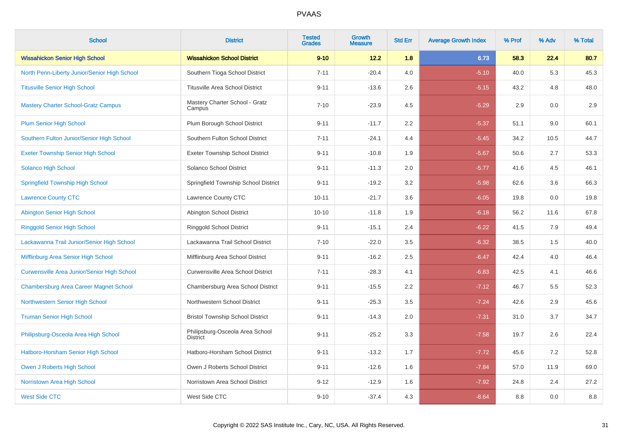| <b>School</b>                                      | <b>District</b>                                    | <b>Tested</b><br><b>Grades</b> | <b>Growth</b><br><b>Measure</b> | <b>Std Err</b> | <b>Average Growth Index</b> | % Prof | % Adv | % Total |
|----------------------------------------------------|----------------------------------------------------|--------------------------------|---------------------------------|----------------|-----------------------------|--------|-------|---------|
| <b>Wissahickon Senior High School</b>              | <b>Wissahickon School District</b>                 | $9 - 10$                       | 12.2                            | 1.8            | 6.73                        | 58.3   | 22.4  | 80.7    |
| North Penn-Liberty Junior/Senior High School       | Southern Tioga School District                     | $7 - 11$                       | $-20.4$                         | 4.0            | $-5.10$                     | 40.0   | 5.3   | 45.3    |
| <b>Titusville Senior High School</b>               | <b>Titusville Area School District</b>             | $9 - 11$                       | $-13.6$                         | 2.6            | $-5.15$                     | 43.2   | 4.8   | 48.0    |
| <b>Mastery Charter School-Gratz Campus</b>         | Mastery Charter School - Gratz<br>Campus           | $7 - 10$                       | $-23.9$                         | 4.5            | $-5.29$                     | 2.9    | 0.0   | 2.9     |
| <b>Plum Senior High School</b>                     | Plum Borough School District                       | $9 - 11$                       | $-11.7$                         | 2.2            | $-5.37$                     | 51.1   | 9.0   | 60.1    |
| Southern Fulton Junior/Senior High School          | Southern Fulton School District                    | $7 - 11$                       | $-24.1$                         | 4.4            | $-5.45$                     | 34.2   | 10.5  | 44.7    |
| <b>Exeter Township Senior High School</b>          | <b>Exeter Township School District</b>             | $9 - 11$                       | $-10.8$                         | 1.9            | $-5.67$                     | 50.6   | 2.7   | 53.3    |
| Solanco High School                                | Solanco School District                            | $9 - 11$                       | $-11.3$                         | 2.0            | $-5.77$                     | 41.6   | 4.5   | 46.1    |
| <b>Springfield Township High School</b>            | Springfield Township School District               | $9 - 11$                       | $-19.2$                         | 3.2            | $-5.98$                     | 62.6   | 3.6   | 66.3    |
| <b>Lawrence County CTC</b>                         | Lawrence County CTC                                | $10 - 11$                      | $-21.7$                         | 3.6            | $-6.05$                     | 19.8   | 0.0   | 19.8    |
| Abington Senior High School                        | Abington School District                           | $10 - 10$                      | $-11.8$                         | 1.9            | $-6.18$                     | 56.2   | 11.6  | 67.8    |
| <b>Ringgold Senior High School</b>                 | Ringgold School District                           | $9 - 11$                       | $-15.1$                         | 2.4            | $-6.22$                     | 41.5   | 7.9   | 49.4    |
| Lackawanna Trail Junior/Senior High School         | Lackawanna Trail School District                   | $7 - 10$                       | $-22.0$                         | 3.5            | $-6.32$                     | 38.5   | 1.5   | 40.0    |
| Mifflinburg Area Senior High School                | Mifflinburg Area School District                   | $9 - 11$                       | $-16.2$                         | 2.5            | $-6.47$                     | 42.4   | 4.0   | 46.4    |
| <b>Curwensville Area Junior/Senior High School</b> | <b>Curwensville Area School District</b>           | $7 - 11$                       | $-28.3$                         | 4.1            | $-6.83$                     | 42.5   | 4.1   | 46.6    |
| <b>Chambersburg Area Career Magnet School</b>      | Chambersburg Area School District                  | $9 - 11$                       | $-15.5$                         | 2.2            | $-7.12$                     | 46.7   | 5.5   | 52.3    |
| Northwestern Senior High School                    | Northwestern School District                       | $9 - 11$                       | $-25.3$                         | 3.5            | $-7.24$                     | 42.6   | 2.9   | 45.6    |
| <b>Truman Senior High School</b>                   | <b>Bristol Township School District</b>            | $9 - 11$                       | $-14.3$                         | 2.0            | $-7.31$                     | 31.0   | 3.7   | 34.7    |
| Philipsburg-Osceola Area High School               | Philipsburg-Osceola Area School<br><b>District</b> | $9 - 11$                       | $-25.2$                         | 3.3            | $-7.58$                     | 19.7   | 2.6   | 22.4    |
| Hatboro-Horsham Senior High School                 | Hatboro-Horsham School District                    | $9 - 11$                       | $-13.2$                         | 1.7            | $-7.72$                     | 45.6   | 7.2   | 52.8    |
| Owen J Roberts High School                         | Owen J Roberts School District                     | $9 - 11$                       | $-12.6$                         | 1.6            | $-7.84$                     | 57.0   | 11.9  | 69.0    |
| Norristown Area High School                        | Norristown Area School District                    | $9 - 12$                       | $-12.9$                         | 1.6            | $-7.92$                     | 24.8   | 2.4   | 27.2    |
| <b>West Side CTC</b>                               | West Side CTC                                      | $9 - 10$                       | $-37.4$                         | 4.3            | $-8.64$                     | 8.8    | 0.0   | $8.8\,$ |